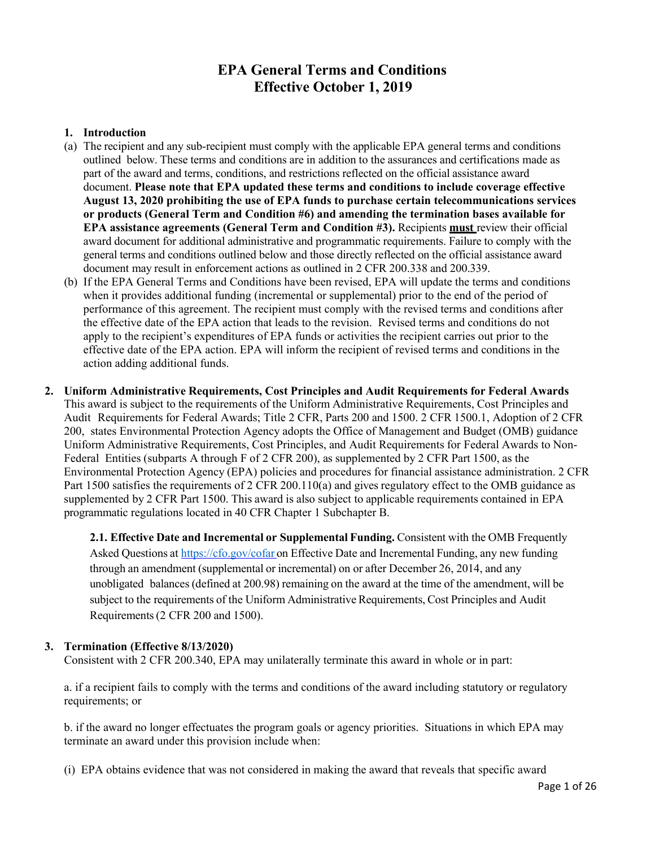# **EPA General Terms and Conditions Effective October 1, 2019**

## **1. Introduction**

- (a) The recipient and any sub-recipient must comply with the applicable EPA general terms and conditions outlined below. These terms and conditions are in addition to the assurances and certifications made as part of the award and terms, conditions, and restrictions reflected on the official assistance award document. **Please note that EPA updated these terms and conditions to include coverage effective August 13, 2020 prohibiting the use of EPA funds to purchase certain telecommunications services or products (General Term and Condition #6) and amending the termination bases available for EPA assistance agreements (General Term and Condition #3).** Recipients **must** review their official award document for additional administrative and programmatic requirements. Failure to comply with the general terms and conditions outlined below and those directly reflected on the official assistance award document may result in enforcement actions as outlined in 2 CFR 200.338 and 200.339.
- (b) If the EPA General Terms and Conditions have been revised, EPA will update the terms and conditions when it provides additional funding (incremental or supplemental) prior to the end of the period of performance of this agreement. The recipient must comply with the revised terms and conditions after the effective date of the EPA action that leads to the revision. Revised terms and conditions do not apply to the recipient's expenditures of EPA funds or activities the recipient carries out prior to the effective date of the EPA action. EPA will inform the recipient of revised terms and conditions in the action adding additional funds.
- **2. Uniform Administrative Requirements, Cost Principles and Audit Requirements for Federal Awards** This award is subject to the requirements of the Uniform Administrative Requirements, Cost Principles and Audit Requirements for Federal Awards; Title 2 CFR, Parts 200 and 1500. 2 CFR 1500.1, Adoption of 2 CFR 200, states Environmental Protection Agency adopts the Office of Management and Budget (OMB) guidance Uniform Administrative Requirements, Cost Principles, and Audit Requirements for Federal Awards to Non-Federal Entities (subparts A through F of 2 CFR 200), as supplemented by 2 CFR Part 1500, as the Environmental Protection Agency (EPA) policies and procedures for financial assistance administration. 2 CFR Part 1500 satisfies the requirements of 2 CFR 200.110(a) and gives regulatory effect to the OMB guidance as supplemented by 2 CFR Part 1500. This award is also subject to applicable requirements contained in EPA programmatic regulations located in 40 CFR Chapter 1 Subchapter B.

**2.1. Effective Date and Incremental or Supplemental Funding.** Consistent with the OMB Frequently Asked Questions at <https://cfo.gov/cofar> on Effective Date and Incremental Funding, any new funding through an amendment (supplemental or incremental) on or after December 26, 2014, and any unobligated balances(defined at 200.98) remaining on the award at the time of the amendment, will be subject to the requirements of the Uniform Administrative Requirements, Cost Principles and Audit Requirements(2 CFR 200 and 1500).

### **3. Termination (Effective 8/13/2020)**

Consistent with 2 CFR 200.340, EPA may unilaterally terminate this award in whole or in part:

a. if a recipient fails to comply with the terms and conditions of the award including statutory or regulatory requirements; or

b. if the award no longer effectuates the program goals or agency priorities. Situations in which EPA may terminate an award under this provision include when:

(i) EPA obtains evidence that was not considered in making the award that reveals that specific award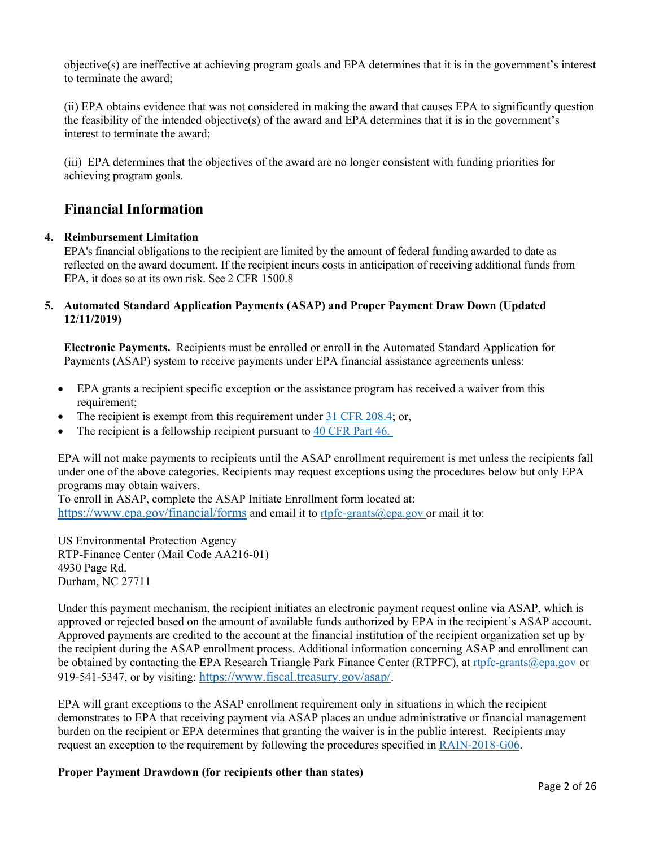objective(s) are ineffective at achieving program goals and EPA determines that it is in the government's interest to terminate the award;

(ii) EPA obtains evidence that was not considered in making the award that causes EPA to significantly question the feasibility of the intended objective(s) of the award and EPA determines that it is in the government's interest to terminate the award;

(iii) EPA determines that the objectives of the award are no longer consistent with funding priorities for achieving program goals.

# **Financial Information**

### **4. Reimbursement Limitation**

EPA's financial obligations to the recipient are limited by the amount of federal funding awarded to date as reflected on the award document. If the recipient incurs costs in anticipation of receiving additional funds from EPA, it does so at its own risk. See 2 CFR 1500.8

### **5. Automated Standard Application Payments (ASAP) and Proper Payment Draw Down (Updated 12/11/2019)**

**Electronic Payments.** Recipients must be enrolled or enroll in the Automated Standard Application for Payments (ASAP) system to receive payments under EPA financial assistance agreements unless:

- EPA grants a recipient specific exception or the assistance program has received a waiver from this requirement;
- The recipient is exempt from this requirement under [31 CFR 208.4;](https://www.ecfr.gov/cgi-bin/text-idx?SID=b0ad1606a19fdcd03ca8776f08ac335a&mc=true&node=pt31.2.208&rgn=div5) or,
- The recipient is a fellowship recipient pursuant to [40 CFR Part 46.](https://www.ecfr.gov/cgi-bin/text-idx?SID=b227e392f67f9a58a228820adac5c502&mc=true&tpl=/ecfrbrowse/Title40/40cfr46_main_02.tpl)

EPA will not make payments to recipients until the ASAP enrollment requirement is met unless the recipients fall under one of the above categories. Recipients may request exceptions using the procedures below but only EPA programs may obtain waivers.

To enroll in ASAP, complete the ASAP Initiate Enrollment form located at: <https://www.epa.gov/financial/forms> and email it to [rtpfc-grants@epa.gov](mailto:rtpfc-grants@epa.gov) or mail it to:

US Environmental Protection Agency RTP-Finance Center (Mail Code AA216-01) 4930 Page Rd. Durham, NC 27711

Under this payment mechanism, the recipient initiates an electronic payment request online via ASAP, which is approved or rejected based on the amount of available funds authorized by EPA in the recipient's ASAP account. Approved payments are credited to the account at the financial institution of the recipient organization set up by the recipient during the ASAP enrollment process. Additional information concerning ASAP and enrollment can be obtained by contacting the EPA Research Triangle Park Finance Center (RTPFC), at [rtpfc-grants@epa.gov](mailto:rtpfc-grants@epa.gov) or 919-541-5347, or by visiting: [https://www.fiscal.treasury.gov/asap/.](https://www.fiscal.treasury.gov/asap/)

EPA will grant exceptions to the ASAP enrollment requirement only in situations in which the recipient demonstrates to EPA that receiving payment via ASAP places an undue administrative or financial management burden on the recipient or EPA determines that granting the waiver is in the public interest. Recipients may request an exception to the requirement by following the procedures specified in [RAIN-2018-G06.](https://www.epa.gov/grants/rain-2018-g06)

### **Proper Payment Drawdown (for recipients other than states)**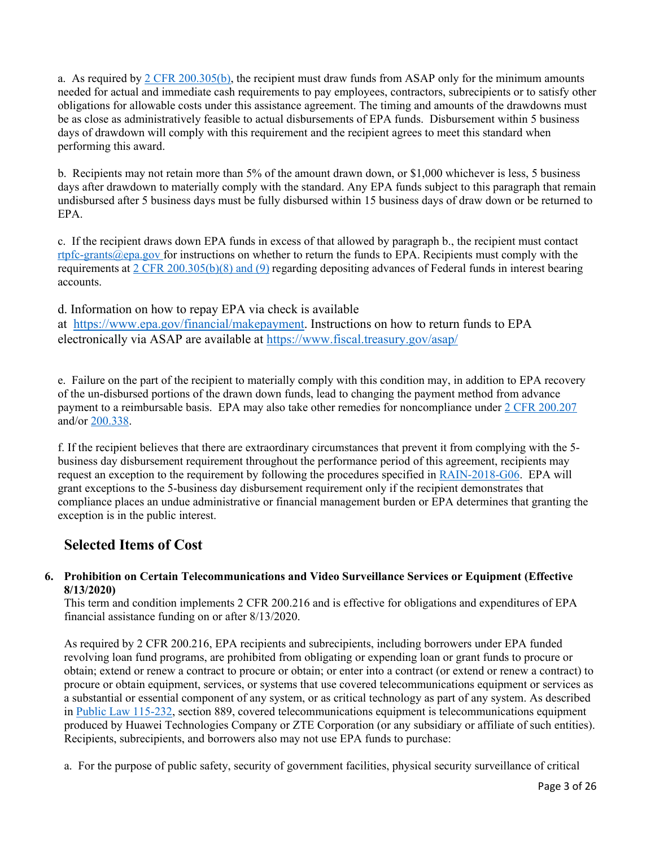a. As required by [2 CFR 200.305\(b\),](https://www.ecfr.gov/cgi-bin/text-idx?SID=f150e32bf902c8a1c93e3cc7ab5203ab&mc=true&node=pt2.1.200&rgn=div5#se2.1.200_1305) the recipient must draw funds from ASAP only for the minimum amounts needed for actual and immediate cash requirements to pay employees, contractors, subrecipients or to satisfy other obligations for allowable costs under this assistance agreement. The timing and amounts of the drawdowns must be as close as administratively feasible to actual disbursements of EPA funds. Disbursement within 5 business days of drawdown will comply with this requirement and the recipient agrees to meet this standard when performing this award.

b. Recipients may not retain more than 5% of the amount drawn down, or \$1,000 whichever is less, 5 business days after drawdown to materially comply with the standard. Any EPA funds subject to this paragraph that remain undisbursed after 5 business days must be fully disbursed within 15 business days of draw down or be returned to EPA.

c. If the recipient draws down EPA funds in excess of that allowed by paragraph b., the recipient must contact [rtpfc-grants@epa.gov](mailto:rtpfc-grants@epa.gov) for instructions on whether to return the funds to EPA. Recipients must comply with the requirements [at 2 CFR 200.305\(b\)\(8\) and \(9\)](https://www.ecfr.gov/cgi-bin/text-idx?SID=486e24fcb749ad56b7a23f95d9efe6a7&mc=true&node=se2.1.200_1305&rgn=div8) regarding depositing advances of Federal funds in interest bearing accounts.

d. Information on how to repay EPA via check is available at [https://www.epa.gov/financial/makepayment.](https://www.epa.gov/financial/makepayment) Instructions on how to return funds to EPA electronically via ASAP are available at<https://www.fiscal.treasury.gov/asap/>

e. Failure on the part of the recipient to materially comply with this condition may, in addition to EPA recovery of the un-disbursed portions of the drawn down funds, lead to changing the payment method from advance payment to a reimbursable basis. EPA may also take other remedies for noncompliance under [2 CFR 200.207](https://www.ecfr.gov/cgi-bin/text-idx?SID=921d2f2c142d507652391ab4f6a2bd5f&mc=true&node=se2.1.200_1207&rgn=div8) and/or [200.338.](https://www.ecfr.gov/cgi-bin/text-idx?SID=921d2f2c142d507652391ab4f6a2bd5f&mc=true&node=se2.1.200_1338&rgn=div8)

f. If the recipient believes that there are extraordinary circumstances that prevent it from complying with the 5 business day disbursement requirement throughout the performance period of this agreement, recipients may request an exception to the requirement by following the procedures specified in [RAIN-2018-G06.](https://www.epa.gov/grants/rain-2018-g06) EPA will grant exceptions to the 5-business day disbursement requirement only if the recipient demonstrates that compliance places an undue administrative or financial management burden or EPA determines that granting the exception is in the public interest.

# **Selected Items of Cost**

## **6. Prohibition on Certain Telecommunications and Video Surveillance Services or Equipment (Effective 8/13/2020)**

This term and condition implements 2 CFR 200.216 and is effective for obligations and expenditures of EPA financial assistance funding on or after 8/13/2020.

As required by 2 CFR 200.216, EPA recipients and subrecipients, including borrowers under EPA funded revolving loan fund programs, are prohibited from obligating or expending loan or grant funds to procure or obtain; extend or renew a contract to procure or obtain; or enter into a contract (or extend or renew a contract) to procure or obtain equipment, services, or systems that use covered telecommunications equipment or services as a substantial or essential component of any system, or as critical technology as part of any system. As described in [Public Law 115-232,](https://www.govinfo.gov/link/plaw/115/public/232?link-type=html) section 889, covered telecommunications equipment is telecommunications equipment produced by Huawei Technologies Company or ZTE Corporation (or any subsidiary or affiliate of such entities). Recipients, subrecipients, and borrowers also may not use EPA funds to purchase:

a. For the purpose of public safety, security of government facilities, physical security surveillance of critical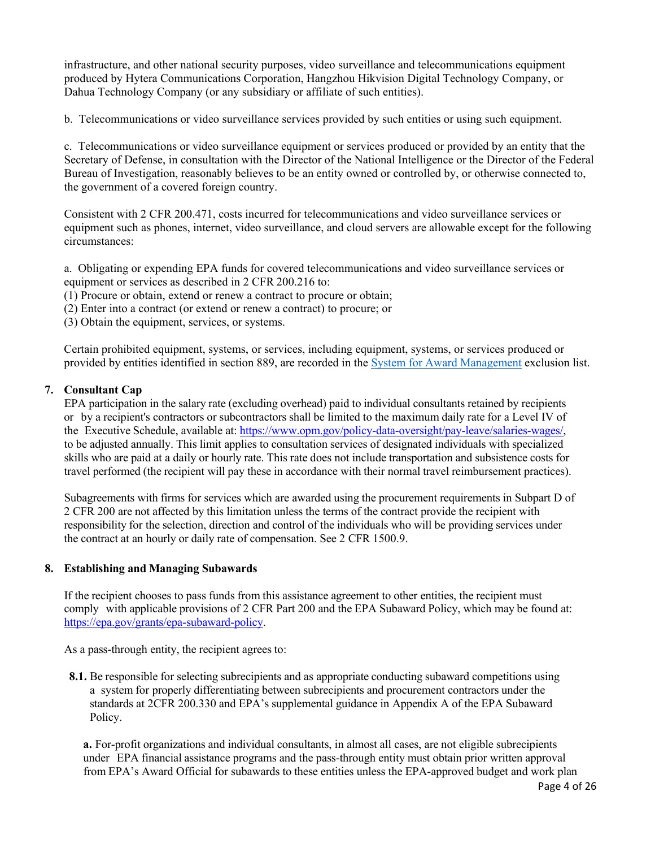infrastructure, and other national security purposes, video surveillance and telecommunications equipment produced by Hytera Communications Corporation, Hangzhou Hikvision Digital Technology Company, or Dahua Technology Company (or any subsidiary or affiliate of such entities).

b. Telecommunications or video surveillance services provided by such entities or using such equipment.

c. Telecommunications or video surveillance equipment or services produced or provided by an entity that the Secretary of Defense, in consultation with the Director of the National Intelligence or the Director of the Federal Bureau of Investigation, reasonably believes to be an entity owned or controlled by, or otherwise connected to, the government of a covered foreign country.

Consistent with 2 CFR 200.471, costs incurred for telecommunications and video surveillance services or equipment such as phones, internet, video surveillance, and cloud servers are allowable except for the following circumstances:

a. Obligating or expending EPA funds for covered telecommunications and video surveillance services or equipment or services as described in 2 CFR 200.216 to:

(1) Procure or obtain, extend or renew a contract to procure or obtain;

(2) Enter into a contract (or extend or renew a contract) to procure; or

(3) Obtain the equipment, services, or systems.

Certain prohibited equipment, systems, or services, including equipment, systems, or services produced or provided by entities identified in section 889, are recorded in the [System for Award Management](https://sam.gov/SAM/) exclusion list.

## **7. Consultant Cap**

EPA participation in the salary rate (excluding overhead) paid to individual consultants retained by recipients or by a recipient's contractors or subcontractors shall be limited to the maximum daily rate for a Level IV of the Executive Schedule, available at: [https://www.opm.gov/policy-data-oversight/pay-leave/salaries-wages/,](https://www.opm.gov/policy-data-oversight/pay-leave/salaries-wages/) to be adjusted annually. This limit applies to consultation services of designated individuals with specialized skills who are paid at a daily or hourly rate. This rate does not include transportation and subsistence costs for travel performed (the recipient will pay these in accordance with their normal travel reimbursement practices).

Subagreements with firms for services which are awarded using the procurement requirements in Subpart D of 2 CFR 200 are not affected by this limitation unless the terms of the contract provide the recipient with responsibility for the selection, direction and control of the individuals who will be providing services under the contract at an hourly or daily rate of compensation. See 2 CFR 1500.9.

### **8. Establishing and Managing Subawards**

If the recipient chooses to pass funds from this assistance agreement to other entities, the recipient must comply with applicable provisions of 2 CFR Part 200 and the EPA Subaward Policy, which may be found at: [https://epa.gov/grants/epa-subaward-policy.](https://epa.gov/grants/epa-subaward-policy)

As a pass-through entity, the recipient agrees to:

**8.1.** Be responsible for selecting subrecipients and as appropriate conducting subaward competitions using a system for properly differentiating between subrecipients and procurement contractors under the standards at 2CFR 200.330 and EPA's supplemental guidance in Appendix A of the EPA Subaward Policy.

**a.** For-profit organizations and individual consultants, in almost all cases, are not eligible subrecipients under EPA financial assistance programs and the pass-through entity must obtain prior written approval from EPA's Award Official for subawards to these entities unless the EPA-approved budget and work plan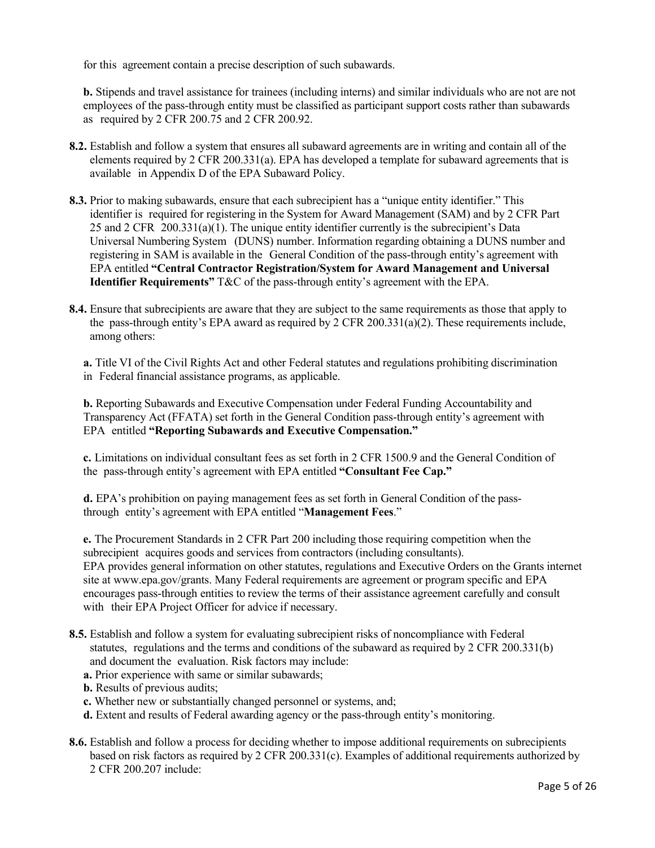for this agreement contain a precise description of such subawards.

**b.** Stipends and travel assistance for trainees (including interns) and similar individuals who are not are not employees of the pass-through entity must be classified as participant support costs rather than subawards as required by 2 CFR 200.75 and 2 CFR 200.92.

- **8.2.** Establish and follow a system that ensures all subaward agreements are in writing and contain all of the elements required by 2 CFR 200.331(a). EPA has developed a template for subaward agreements that is available in Appendix D of the EPA Subaward Policy.
- **8.3.** Prior to making subawards, ensure that each subrecipient has a "unique entity identifier." This identifier is required for registering in the System for Award Management (SAM) and by 2 CFR Part 25 and 2 CFR 200.331(a)(1). The unique entity identifier currently is the subrecipient's Data Universal Numbering System (DUNS) number. Information regarding obtaining a DUNS number and registering in SAM is available in the General Condition of the pass-through entity's agreement with EPA entitled **"Central Contractor Registration/System for Award Management and Universal Identifier Requirements"** T&C of the pass-through entity's agreement with the EPA.
- **8.4.** Ensure that subrecipients are aware that they are subject to the same requirements as those that apply to the pass-through entity's EPA award as required by 2 CFR 200.331(a)(2). These requirements include, among others:

**a.** Title VI of the Civil Rights Act and other Federal statutes and regulations prohibiting discrimination in Federal financial assistance programs, as applicable.

**b.** Reporting Subawards and Executive Compensation under Federal Funding Accountability and Transparency Act (FFATA) set forth in the General Condition pass-through entity's agreement with EPA entitled **"Reporting Subawards and Executive Compensation."**

**c.** Limitations on individual consultant fees as set forth in 2 CFR 1500.9 and the General Condition of the pass-through entity's agreement with EPA entitled **"Consultant Fee Cap."**

**d.** EPA's prohibition on paying management fees as set forth in General Condition of the passthrough entity's agreement with EPA entitled "**Management Fees**."

**e.** The Procurement Standards in 2 CFR Part 200 including those requiring competition when the subrecipient acquires goods and services from contractors (including consultants). EPA provides general information on other statutes, regulations and Executive Orders on the Grants internet site at [www.epa.gov/grants.](http://www.epa.gov/grants) Many Federal requirements are agreement or program specific and EPA encourages pass-through entities to review the terms of their assistance agreement carefully and consult with their EPA Project Officer for advice if necessary.

- **8.5.** Establish and follow a system for evaluating subrecipient risks of noncompliance with Federal statutes, regulations and the terms and conditions of the subaward as required by 2 CFR 200.331(b) and document the evaluation. Risk factors may include:
	- **a.** Prior experience with same or similar subawards;
	- **b.** Results of previous audits;
	- **c.** Whether new or substantially changed personnel or systems, and;
	- **d.** Extent and results of Federal awarding agency or the pass-through entity's monitoring.
- **8.6.** Establish and follow a process for deciding whether to impose additional requirements on subrecipients based on risk factors as required by 2 CFR 200.331(c). Examples of additional requirements authorized by 2 CFR 200.207 include: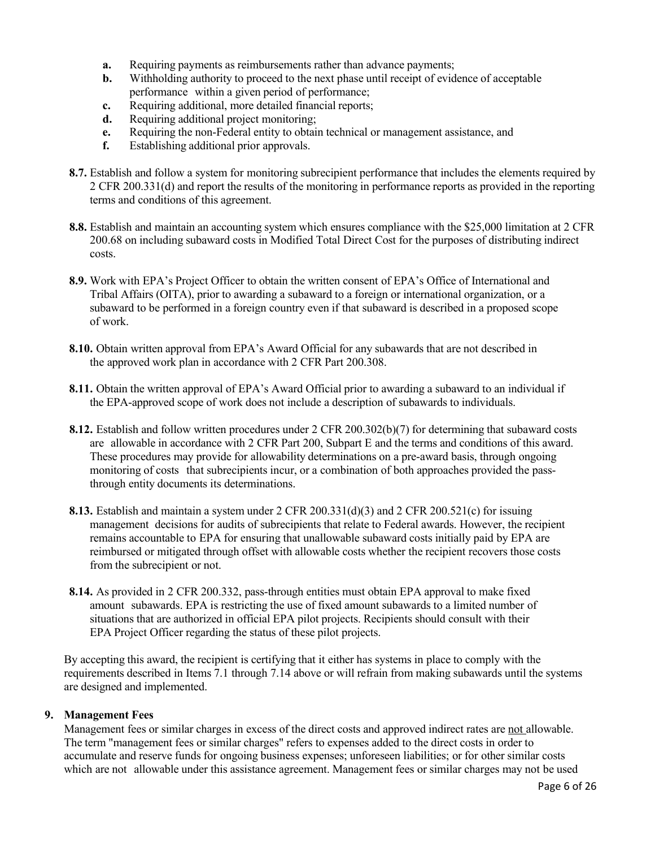- **a.** Requiring payments as reimbursements rather than advance payments;
- **b.** Withholding authority to proceed to the next phase until receipt of evidence of acceptable performance within a given period of performance;
- **c.** Requiring additional, more detailed financial reports;
- **d.** Requiring additional project monitoring;
- **e.** Requiring the non-Federal entity to obtain technical or management assistance, and
- **f.** Establishing additional prior approvals.
- **8.7.** Establish and follow a system for monitoring subrecipient performance that includes the elements required by 2 CFR 200.331(d) and report the results of the monitoring in performance reports as provided in the reporting terms and conditions of this agreement.
- **8.8.** Establish and maintain an accounting system which ensures compliance with the \$25,000 limitation at 2 CFR 200.68 on including subaward costs in Modified Total Direct Cost for the purposes of distributing indirect costs.
- **8.9.** Work with EPA's Project Officer to obtain the written consent of EPA's Office of International and Tribal Affairs (OITA), prior to awarding a subaward to a foreign or international organization, or a subaward to be performed in a foreign country even if that subaward is described in a proposed scope of work.
- **8.10.** Obtain written approval from EPA's Award Official for any subawards that are not described in the approved work plan in accordance with 2 CFR Part 200.308.
- **8.11.** Obtain the written approval of EPA's Award Official prior to awarding a subaward to an individual if the EPA-approved scope of work does not include a description of subawards to individuals.
- **8.12.** Establish and follow written procedures under 2 CFR 200.302(b)(7) for determining that subaward costs are allowable in accordance with 2 CFR Part 200, Subpart E and the terms and conditions of this award. These procedures may provide for allowability determinations on a pre-award basis, through ongoing monitoring of costs that subrecipients incur, or a combination of both approaches provided the passthrough entity documents its determinations.
- **8.13.** Establish and maintain a system under 2 CFR 200.331(d)(3) and 2 CFR 200.521(c) for issuing management decisions for audits of subrecipients that relate to Federal awards. However, the recipient remains accountable to EPA for ensuring that unallowable subaward costs initially paid by EPA are reimbursed or mitigated through offset with allowable costs whether the recipient recovers those costs from the subrecipient or not.
- **8.14.** As provided in 2 CFR 200.332, pass-through entities must obtain EPA approval to make fixed amount subawards. EPA is restricting the use of fixed amount subawards to a limited number of situations that are authorized in official EPA pilot projects. Recipients should consult with their EPA Project Officer regarding the status of these pilot projects.

By accepting this award, the recipient is certifying that it either has systems in place to comply with the requirements described in Items 7.1 through 7.14 above or will refrain from making subawards until the systems are designed and implemented.

### **9. Management Fees**

Management fees or similar charges in excess of the direct costs and approved indirect rates are not allowable. The term "management fees or similar charges" refers to expenses added to the direct costs in order to accumulate and reserve funds for ongoing business expenses; unforeseen liabilities; or for other similar costs which are not allowable under this assistance agreement. Management fees or similar charges may not be used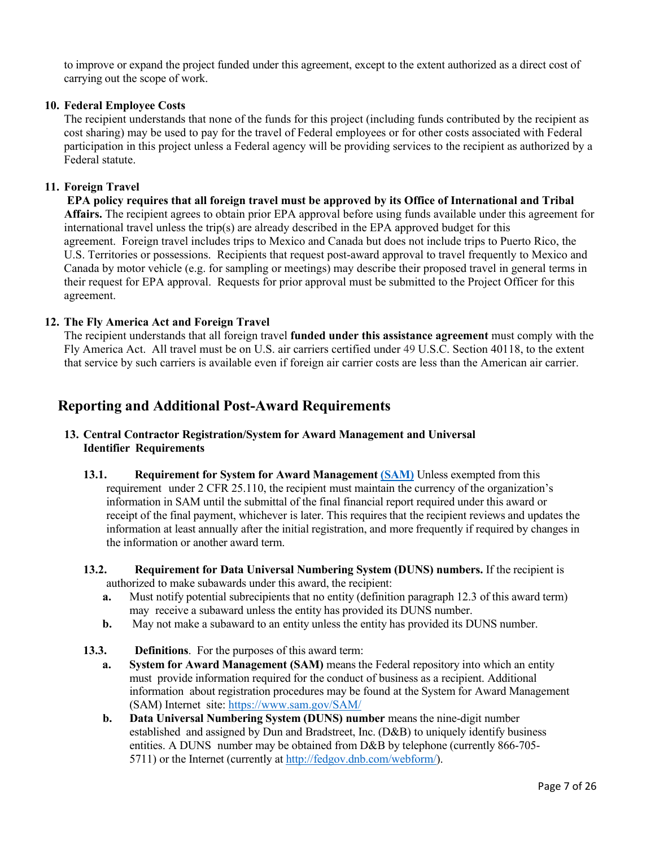to improve or expand the project funded under this agreement, except to the extent authorized as a direct cost of carrying out the scope of work.

### **10. Federal Employee Costs**

The recipient understands that none of the funds for this project (including funds contributed by the recipient as cost sharing) may be used to pay for the travel of Federal employees or for other costs associated with Federal participation in this project unless a Federal agency will be providing services to the recipient as authorized by a Federal statute.

#### **11. Foreign Travel**

**EPA policy requires that all foreign travel must be approved by its Office of International and Tribal Affairs.** The recipient agrees to obtain prior EPA approval before using funds available under this agreement for international travel unless the trip(s) are already described in the EPA approved budget for this agreement. Foreign travel includes trips to Mexico and Canada but does not include trips to Puerto Rico, the U.S. Territories or possessions. Recipients that request post-award approval to travel frequently to Mexico and Canada by motor vehicle (e.g. for sampling or meetings) may describe their proposed travel in general terms in their request for EPA approval. Requests for prior approval must be submitted to the Project Officer for this agreement.

#### **12. The Fly America Act and Foreign Travel**

The recipient understands that all foreign travel **funded under this assistance agreement** must comply with the Fly America Act. All travel must be on U.S. air carriers certified under 49 U.S.C. Section 40118, to the extent that service by such carriers is available even if foreign air carrier costs are less than the American air carrier.

# **Reporting and Additional Post-Award Requirements**

## **13. Central Contractor Registration/System for Award Management and Universal Identifier Requirements**

- **13.1. Requirement for System for Award Management [\(SAM\)](https://www.sam.gov/SAM/)** Unless exempted from this requirement under 2 CFR 25.110, the recipient must maintain the currency of the organization's information in SAM until the submittal of the final financial report required under this award or receipt of the final payment, whichever is later. This requires that the recipient reviews and updates the information at least annually after the initial registration, and more frequently if required by changes in the information or another award term.
- **13.2. Requirement for Data Universal Numbering System (DUNS) numbers.** If the recipient is authorized to make subawards under this award, the recipient:
	- **a.** Must notify potential subrecipients that no entity (definition paragraph 12.3 of this award term) may receive a subaward unless the entity has provided its DUNS number.
	- **b.** May not make a subaward to an entity unless the entity has provided its DUNS number.
- **13.3. Definitions**. For the purposes of this award term:
	- **a. System for Award Management (SAM)** means the Federal repository into which an entity must provide information required for the conduct of business as a recipient. Additional information about registration procedures may be found at the System for Award Management (SAM) Internet site[: https://www.sam.gov/SAM/](https://www.sam.gov/SAM/)
	- **b. Data Universal Numbering System (DUNS) number** means the nine-digit number established and assigned by Dun and Bradstreet, Inc. (D&B) to uniquely identify business entities. A DUNS number may be obtained from D&B by telephone (currently 866-705 5711) or the Internet (currently at [http://fedgov.dnb.com/webform/\)](http://fedgov.dnb.com/webform/).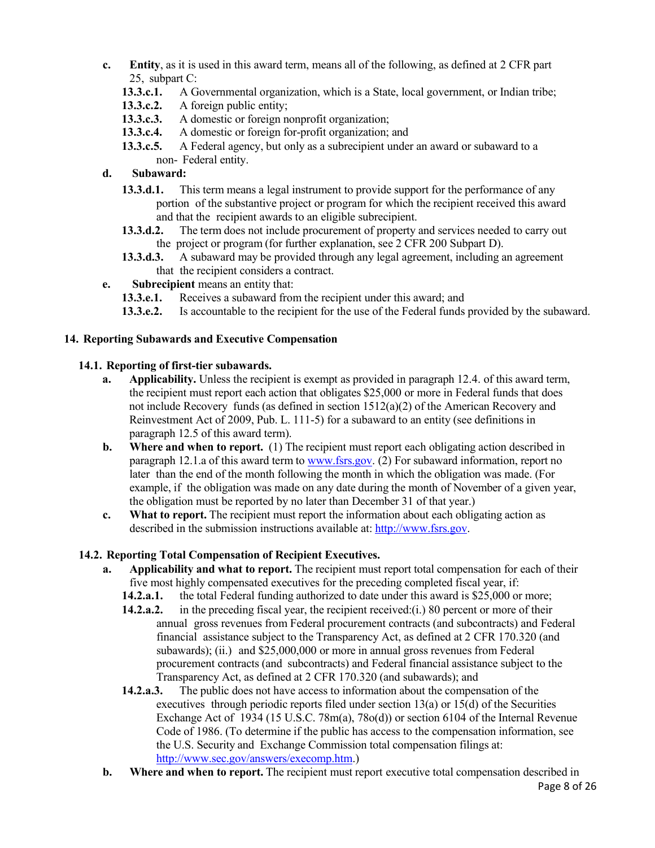- **c. Entity**, as it is used in this award term, means all of the following, as defined at 2 CFR part 25, subpart C:
	- **13.3.c.1.** A Governmental organization, which is a State, local government, or Indian tribe;
	- **13.3.c.2.** A foreign public entity;
	- **13.3.c.3.** A domestic or foreign nonprofit organization;
	- **13.3.c.4.** A domestic or foreign for-profit organization; and
	- **13.3.c.5.** A Federal agency, but only as a subrecipient under an award or subaward to a non- Federal entity.
- **d. Subaward:**
	- **13.3.d.1.** This term means a legal instrument to provide support for the performance of any portion of the substantive project or program for which the recipient received this award and that the recipient awards to an eligible subrecipient.
	- **13.3.d.2.** The term does not include procurement of property and services needed to carry out the project or program (for further explanation, see 2 CFR 200 Subpart D).
	- **13.3.d.3.** A subaward may be provided through any legal agreement, including an agreement that the recipient considers a contract.
- **e. Subrecipient** means an entity that:
	- **13.3.e.1.** Receives a subaward from the recipient under this award; and
	- **13.3.e.2.** Is accountable to the recipient for the use of the Federal funds provided by the subaward.

# **14. Reporting Subawards and Executive Compensation**

## **14.1. Reporting of first-tier subawards.**

- **a. Applicability.** Unless the recipient is exempt as provided in paragraph 12.4. of this award term, the recipient must report each action that obligates \$25,000 or more in Federal funds that does not include Recovery funds (as defined in section  $1512(a)(2)$  of the American Recovery and Reinvestment Act of 2009, Pub. L. 111-5) for a subaward to an entity (see definitions in paragraph 12.5 of this award term).
- **b. Where and when to report.** (1) The recipient must report each obligating action described in paragraph 12.1.a of this award term to [www.fsrs.gov.](http://www.fsrs.gov/) (2) For subaward information, report no later than the end of the month following the month in which the obligation was made. (For example, if the obligation was made on any date during the month of November of a given year, the obligation must be reported by no later than December 31 of that year.)
- **c. What to report.** The recipient must report the information about each obligating action as described in the submission instructions available at: [http://www.fsrs.gov.](http://www.fsrs.gov/)

# **14.2. Reporting Total Compensation of Recipient Executives.**

- **a. Applicability and what to report.** The recipient must report total compensation for each of their five most highly compensated executives for the preceding completed fiscal year, if:
	- **14.2.a.1.** the total Federal funding authorized to date under this award is \$25,000 or more;
	- **14.2.a.2.** in the preceding fiscal year, the recipient received:(i.) 80 percent or more of their annual gross revenues from Federal procurement contracts (and subcontracts) and Federal financial assistance subject to the Transparency Act, as defined at 2 CFR 170.320 (and subawards); (ii.) and \$25,000,000 or more in annual gross revenues from Federal procurement contracts (and subcontracts) and Federal financial assistance subject to the Transparency Act, as defined at 2 CFR 170.320 (and subawards); and
	- **14.2.a.3.** The public does not have access to information about the compensation of the executives through periodic reports filed under section  $13(a)$  or  $15(d)$  of the Securities Exchange Act of 1934 (15 U.S.C. 78m(a), 78o(d)) or section 6104 of the Internal Revenue Code of 1986. (To determine if the public has access to the compensation information, see the U.S. Security and Exchange Commission total compensation filings at: [http://www.sec.gov/answers/execomp.htm.](http://www.sec.gov/answers/execomp.htm))
- **b. Where and when to report.** The recipient must report executive total compensation described in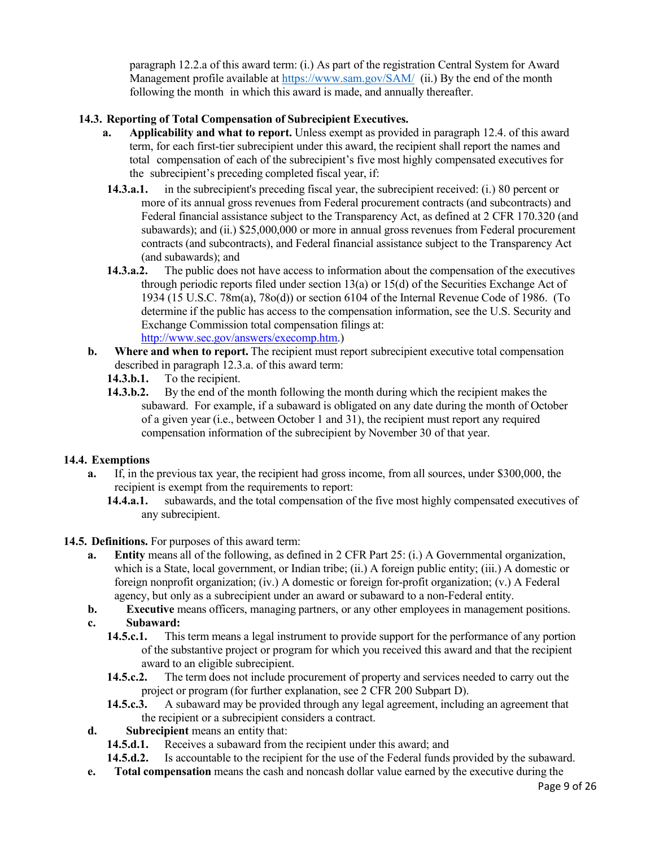paragraph 12.2.a of this award term: (i.) As part of the registration Central System for Award Management profile available at<https://www.sam.gov/SAM/> (ii.) By the end of the month following the month in which this award is made, and annually thereafter.

# **14.3. Reporting of Total Compensation of Subrecipient Executives.**

- **a. Applicability and what to report.** Unless exempt as provided in paragraph 12.4. of this award term, for each first-tier subrecipient under this award, the recipient shall report the names and total compensation of each of the subrecipient's five most highly compensated executives for the subrecipient's preceding completed fiscal year, if:
- **14.3.a.1.** in the subrecipient's preceding fiscal year, the subrecipient received: (i.) 80 percent or more of its annual gross revenues from Federal procurement contracts (and subcontracts) and Federal financial assistance subject to the Transparency Act, as defined at 2 CFR 170.320 (and subawards); and (ii.) \$25,000,000 or more in annual gross revenues from Federal procurement contracts (and subcontracts), and Federal financial assistance subject to the Transparency Act (and subawards); and
- **14.3.a.2.** The public does not have access to information about the compensation of the executives through periodic reports filed under section 13(a) or 15(d) of the Securities Exchange Act of 1934 (15 U.S.C. 78m(a), 78o(d)) or section 6104 of the Internal Revenue Code of 1986. (To determine if the public has access to the compensation information, see the U.S. Security and Exchange Commission total compensation filings at: [http://www.sec.gov/answers/execomp.htm.](http://www.sec.gov/answers/execomp.htm))
- **b. Where and when to report.** The recipient must report subrecipient executive total compensation described in paragraph 12.3.a. of this award term:
	- **14.3.b.1.** To the recipient.
	- **14.3.b.2.** By the end of the month following the month during which the recipient makes the subaward. For example, if a subaward is obligated on any date during the month of October of a given year (i.e., between October 1 and 31), the recipient must report any required compensation information of the subrecipient by November 30 of that year.

### **14.4. Exemptions**

- **a.** If, in the previous tax year, the recipient had gross income, from all sources, under \$300,000, the recipient is exempt from the requirements to report:
	- **14.4.a.1.** subawards, and the total compensation of the five most highly compensated executives of any subrecipient.
- **14.5. Definitions.** For purposes of this award term:
	- **a. Entity** means all of the following, as defined in 2 CFR Part 25: (i.) A Governmental organization, which is a State, local government, or Indian tribe; (ii.) A foreign public entity; (iii.) A domestic or foreign nonprofit organization; (iv.) A domestic or foreign for-profit organization; (v.) A Federal agency, but only as a subrecipient under an award or subaward to a non-Federal entity.
	- **b. Executive** means officers, managing partners, or any other employees in management positions. **c. Subaward:**
		- **14.5.c.1.** This term means a legal instrument to provide support for the performance of any portion of the substantive project or program for which you received this award and that the recipient award to an eligible subrecipient.
		- **14.5.c.2.** The term does not include procurement of property and services needed to carry out the project or program (for further explanation, see 2 CFR 200 Subpart D).
		- **14.5.c.3.** A subaward may be provided through any legal agreement, including an agreement that the recipient or a subrecipient considers a contract.
	- **d. Subrecipient** means an entity that:
		- **14.5.d.1.** Receives a subaward from the recipient under this award; and
		- **14.5.d.2.** Is accountable to the recipient for the use of the Federal funds provided by the subaward.
	- **e. Total compensation** means the cash and noncash dollar value earned by the executive during the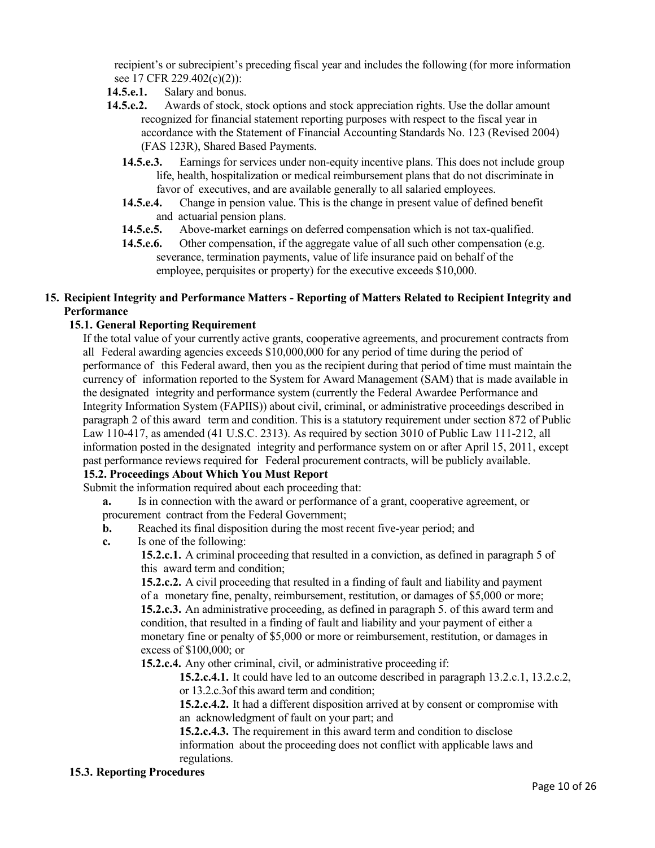recipient's or subrecipient's preceding fiscal year and includes the following (for more information see 17 CFR 229.402(c)(2)):

- **14.5.e.1.** Salary and bonus.
- **14.5.e.2.** Awards of stock, stock options and stock appreciation rights. Use the dollar amount recognized for financial statement reporting purposes with respect to the fiscal year in accordance with the Statement of Financial Accounting Standards No. 123 (Revised 2004) (FAS 123R), Shared Based Payments.
	- **14.5.e.3.** Earnings for services under non-equity incentive plans. This does not include group life, health, hospitalization or medical reimbursement plans that do not discriminate in favor of executives, and are available generally to all salaried employees.
	- **14.5.e.4.** Change in pension value. This is the change in present value of defined benefit and actuarial pension plans.
	- **14.5.e.5.** Above-market earnings on deferred compensation which is not tax-qualified.
	- **14.5.e.6.** Other compensation, if the aggregate value of all such other compensation (e.g. severance, termination payments, value of life insurance paid on behalf of the employee, perquisites or property) for the executive exceeds \$10,000.

## **15. Recipient Integrity and Performance Matters - Reporting of Matters Related to Recipient Integrity and Performance**

### **15.1. General Reporting Requirement**

If the total value of your currently active grants, cooperative agreements, and procurement contracts from all Federal awarding agencies exceeds \$10,000,000 for any period of time during the period of performance of this Federal award, then you as the recipient during that period of time must maintain the currency of information reported to the System for Award Management (SAM) that is made available in the designated integrity and performance system (currently the Federal Awardee Performance and Integrity Information System (FAPIIS)) about civil, criminal, or administrative proceedings described in paragraph 2 of this award term and condition. This is a statutory requirement under section 872 of Public Law 110-417, as amended (41 U.S.C. 2313). As required by section 3010 of Public Law 111-212, all information posted in the designated integrity and performance system on or after April 15, 2011, except past performance reviews required for Federal procurement contracts, will be publicly available.

### **15.2. Proceedings About Which You Must Report**

Submit the information required about each proceeding that:

**a.** Is in connection with the award or performance of a grant, cooperative agreement, or procurement contract from the Federal Government;

- **b.** Reached its final disposition during the most recent five-year period; and
- **c.** Is one of the following:

**15.2.c.1.** A criminal proceeding that resulted in a conviction, as defined in paragraph 5 of this award term and condition;

**15.2.c.2.** A civil proceeding that resulted in a finding of fault and liability and payment of a monetary fine, penalty, reimbursement, restitution, or damages of \$5,000 or more; **15.2.c.3.** An administrative proceeding, as defined in paragraph 5. of this award term and condition, that resulted in a finding of fault and liability and your payment of either a monetary fine or penalty of \$5,000 or more or reimbursement, restitution, or damages in excess of \$100,000; or

**15.2.c.4.** Any other criminal, civil, or administrative proceeding if:

**15.2.c.4.1.** It could have led to an outcome described in paragraph 13.2.c.1, 13.2.c.2, or 13.2.c.3of this award term and condition;

**15.2.c.4.2.** It had a different disposition arrived at by consent or compromise with an acknowledgment of fault on your part; and

**15.2.c.4.3.** The requirement in this award term and condition to disclose information about the proceeding does not conflict with applicable laws and regulations.

#### **15.3. Reporting Procedures**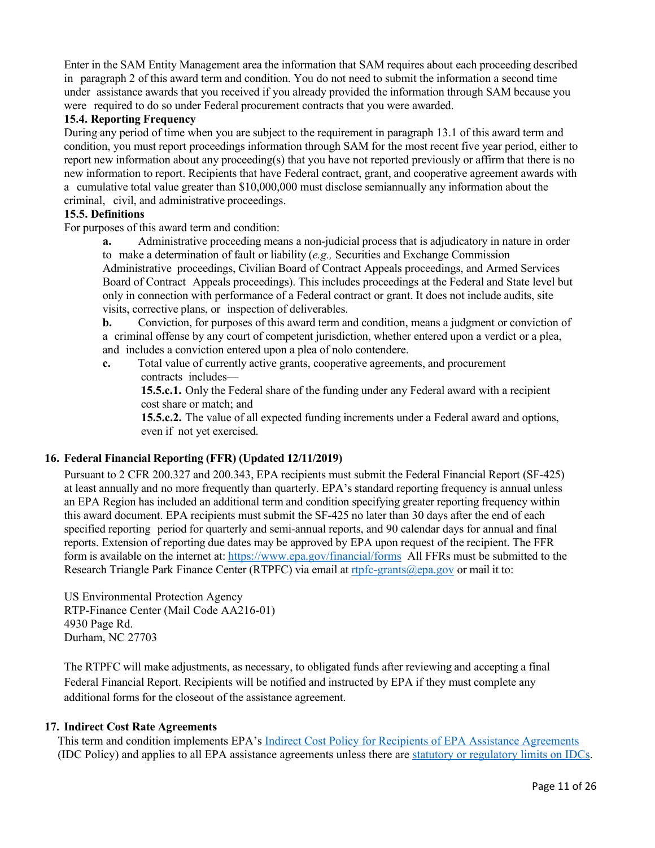Enter in the SAM Entity Management area the information that SAM requires about each proceeding described in paragraph 2 of this award term and condition. You do not need to submit the information a second time under assistance awards that you received if you already provided the information through SAM because you were required to do so under Federal procurement contracts that you were awarded.

## **15.4. Reporting Frequency**

During any period of time when you are subject to the requirement in paragraph 13.1 of this award term and condition, you must report proceedings information through SAM for the most recent five year period, either to report new information about any proceeding(s) that you have not reported previously or affirm that there is no new information to report. Recipients that have Federal contract, grant, and cooperative agreement awards with a cumulative total value greater than \$10,000,000 must disclose semiannually any information about the criminal, civil, and administrative proceedings.

## **15.5. Definitions**

For purposes of this award term and condition:

**a.** Administrative proceeding means a non-judicial process that is adjudicatory in nature in order to make a determination of fault or liability (*e.g.,* Securities and Exchange Commission Administrative proceedings, Civilian Board of Contract Appeals proceedings, and Armed Services Board of Contract Appeals proceedings). This includes proceedings at the Federal and State level but only in connection with performance of a Federal contract or grant. It does not include audits, site visits, corrective plans, or inspection of deliverables.

**b.** Conviction, for purposes of this award term and condition, means a judgment or conviction of a criminal offense by any court of competent jurisdiction, whether entered upon a verdict or a plea, and includes a conviction entered upon a plea of nolo contendere.

**c.** Total value of currently active grants, cooperative agreements, and procurement contracts includes—

**15.5.c.1.** Only the Federal share of the funding under any Federal award with a recipient cost share or match; and

**15.5.c.2.** The value of all expected funding increments under a Federal award and options, even if not yet exercised.

### **16. Federal Financial Reporting (FFR) (Updated 12/11/2019)**

Pursuant to 2 CFR 200.327 and 200.343, EPA recipients must submit the Federal Financial Report (SF-425) at least annually and no more frequently than quarterly. EPA's standard reporting frequency is annual unless an EPA Region has included an additional term and condition specifying greater reporting frequency within this award document. EPA recipients must submit the SF-425 no later than 30 days after the end of each specified reporting period for quarterly and semi-annual reports, and 90 calendar days for annual and final reports. Extension of reporting due dates may be approved by EPA upon request of the recipient. The FFR form is available on the internet at: <https://www.epa.gov/financial/forms>All FFRs must be submitted to the Research Triangle Park Finance Center (RTPFC) via email at [rtpfc-grants@epa.gov](mailto:rtpfc-grants@epa.gov) or mail it to:

US Environmental Protection Agency RTP-Finance Center (Mail Code AA216-01) 4930 Page Rd. Durham, NC 27703

The RTPFC will make adjustments, as necessary, to obligated funds after reviewing and accepting a final Federal Financial Report. Recipients will be notified and instructed by EPA if they must complete any additional forms for the closeout of the assistance agreement.

### **17. Indirect Cost Rate Agreements**

This term and condition implements EPA's [Indirect Cost Policy for Recipients of EPA Assistance Agreements](https://www.epa.gov/sites/production/files/2018-08/documents/indirect-cost-policy-for-recipients-of-epa-assistance-agreements.pdf) (IDC Policy) and applies to all EPA assistance agreements unless there are [statutory or regulatory limits on IDCs.](https://www.epa.gov/sites/production/files/2018-08/documents/statutory-restrictions-on-indirect-costs-in-epa-financial-assistance-programs.pdf)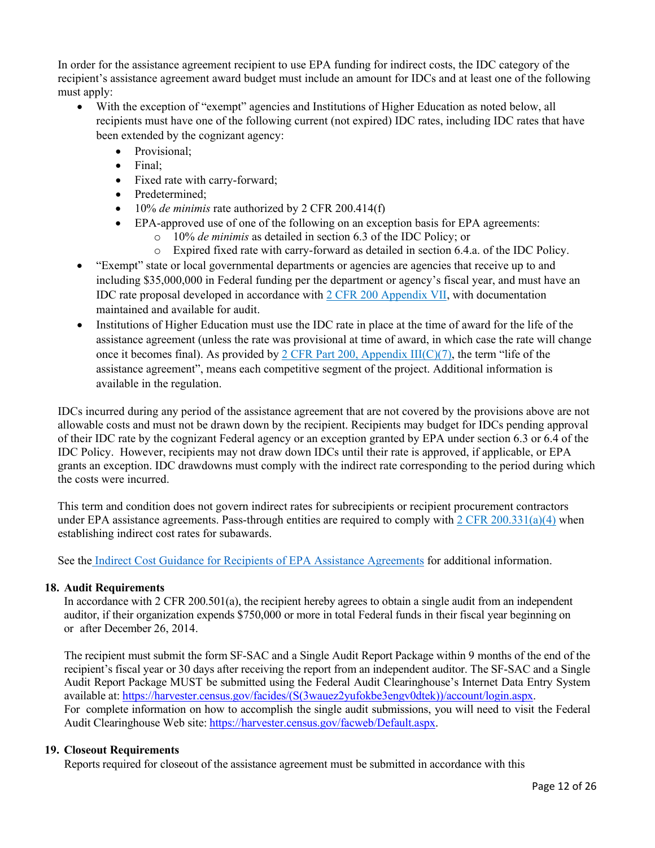In order for the assistance agreement recipient to use EPA funding for indirect costs, the IDC category of the recipient's assistance agreement award budget must include an amount for IDCs and at least one of the following must apply:

- With the exception of "exempt" agencies and Institutions of Higher Education as noted below, all recipients must have one of the following current (not expired) IDC rates, including IDC rates that have been extended by the cognizant agency:
	- Provisional;
	- Final;
	- Fixed rate with carry-forward;
	- Predetermined;
	- 10% *de minimis* rate authorized by 2 CFR 200.414(f)
	- EPA-approved use of one of the following on an exception basis for EPA agreements:
		- o 10% *de minimis* as detailed in section 6.3 of the IDC Policy; or
		- o Expired fixed rate with carry-forward as detailed in section 6.4.a. of the IDC Policy.
- "Exempt" state or local governmental departments or agencies are agencies that receive up to and including \$35,000,000 in Federal funding per the department or agency's fiscal year, and must have an IDC rate proposal developed in accordance with [2 CFR 200 Appendix VII,](https://www.ecfr.gov/cgi-bin/text-idx?SID=bf06700d1f5b8f62fd7db07b80889aaf&mc=true&node=ap2.1.200_1521.vii&rgn=div9) with documentation maintained and available for audit.
- Institutions of Higher Education must use the IDC rate in place at the time of award for the life of the assistance agreement (unless the rate was provisional at time of award, in which case the rate will change once it becomes final). As provided by 2 CFR Part 200, Appendix  $III(C)(7)$ , the term "life of the assistance agreement", means each competitive segment of the project. Additional information is available in the regulation.

IDCs incurred during any period of the assistance agreement that are not covered by the provisions above are not allowable costs and must not be drawn down by the recipient. Recipients may budget for IDCs pending approval of their IDC rate by the cognizant Federal agency or an exception granted by EPA under section 6.3 or 6.4 of the IDC Policy. However, recipients may not draw down IDCs until their rate is approved, if applicable, or EPA grants an exception. IDC drawdowns must comply with the indirect rate corresponding to the period during which the costs were incurred.

This term and condition does not govern indirect rates for subrecipients or recipient procurement contractors under EPA assistance agreements. Pass-through entities are required to comply with [2 CFR 200.331\(a\)\(4\)](https://www.ecfr.gov/cgi-bin/text-idx?SID=b5185e001d3dd5d9e3e4bababfccfa06&mc=true&node=se2.1.200_1331&rgn=div8) when establishing indirect cost rates for subawards.

See the [Indirect Cost Guidance for Recipients of EPA Assistance Agreements](https://www.epa.gov/sites/production/files/2018-08/documents/indirect-cost-policy-guidance-for-recipients-of-epa-assistance-agreements.pdf) for additional information.

### **18. Audit Requirements**

In accordance with 2 CFR 200.501(a), the recipient hereby agrees to obtain a single audit from an independent auditor, if their organization expends \$750,000 or more in total Federal funds in their fiscal year beginning on or after December 26, 2014.

The recipient must submit the form SF-SAC and a Single Audit Report Package within 9 months of the end of the recipient's fiscal year or 30 days after receiving the report from an independent auditor. The SF-SAC and a Single Audit Report Package MUST be submitted using the Federal Audit Clearinghouse's Internet Data Entry System available at: [https://harvester.census.gov/facides/\(S\(3wauez2yufokbe3engv0dtek\)\)/account/login.aspx.](https://harvester.census.gov/facides/(S(3wauez2yufokbe3engv0dtek))/account/login.aspx) For complete information on how to accomplish the single audit submissions, you will need to visit the Federal Audit Clearinghouse Web site: [https://harvester.census.gov/facweb/Default.aspx.](https://harvester.census.gov/facweb/Default.aspx)

#### **19. Closeout Requirements**

Reports required for closeout of the assistance agreement must be submitted in accordance with this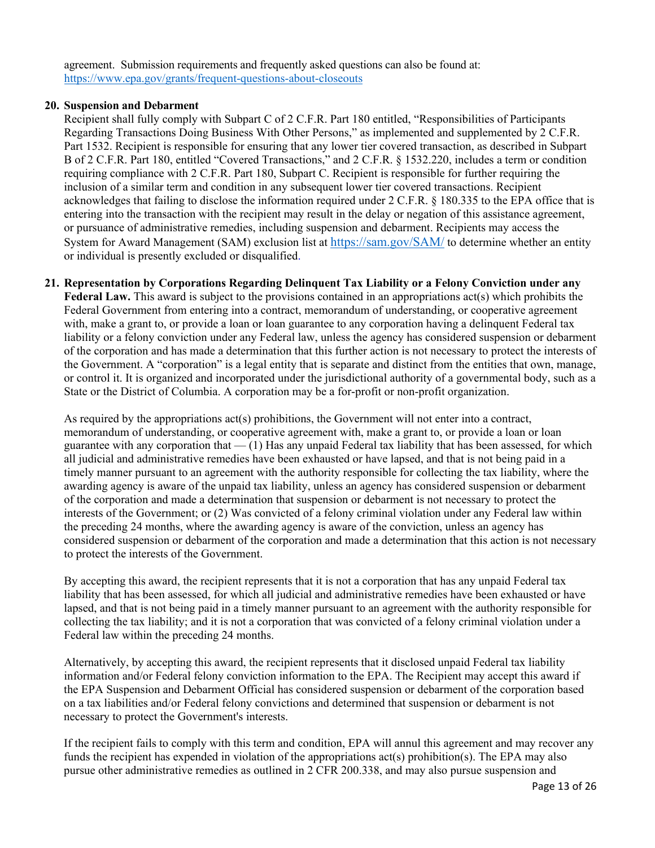agreement. Submission requirements and frequently asked questions can also be found at: <https://www.epa.gov/grants/frequent-questions-about-closeouts>

#### **20. Suspension and Debarment**

Recipient shall fully comply with Subpart C of 2 C.F.R. Part 180 entitled, "Responsibilities of Participants Regarding Transactions Doing Business With Other Persons," as implemented and supplemented by 2 C.F.R. Part 1532. Recipient is responsible for ensuring that any lower tier covered transaction, as described in Subpart B of 2 C.F.R. Part 180, entitled "Covered Transactions," and 2 C.F.R. § 1532.220, includes a term or condition requiring compliance with 2 C.F.R. Part 180, Subpart C. Recipient is responsible for further requiring the inclusion of a similar term and condition in any subsequent lower tier covered transactions. Recipient acknowledges that failing to disclose the information required under 2 C.F.R. § 180.335 to the EPA office that is entering into the transaction with the recipient may result in the delay or negation of this assistance agreement, or pursuance of administrative remedies, including suspension and debarment. Recipients may access the System for Award Management (SAM) exclusion list at <https://sam.gov/SAM/> to determine whether an entity or individual is presently excluded or disqualified.

# **21. Representation by Corporations Regarding Delinquent Tax Liability or a Felony Conviction under any Federal Law.** This award is subject to the provisions contained in an appropriations act(s) which prohibits the

Federal Government from entering into a contract, memorandum of understanding, or cooperative agreement with, make a grant to, or provide a loan or loan guarantee to any corporation having a delinquent Federal tax liability or a felony conviction under any Federal law, unless the agency has considered suspension or debarment of the corporation and has made a determination that this further action is not necessary to protect the interests of the Government. A "corporation" is a legal entity that is separate and distinct from the entities that own, manage, or control it. It is organized and incorporated under the jurisdictional authority of a governmental body, such as a State or the District of Columbia. A corporation may be a for-profit or non-profit organization.

As required by the appropriations act(s) prohibitions, the Government will not enter into a contract, memorandum of understanding, or cooperative agreement with, make a grant to, or provide a loan or loan guarantee with any corporation that  $-$  (1) Has any unpaid Federal tax liability that has been assessed, for which all judicial and administrative remedies have been exhausted or have lapsed, and that is not being paid in a timely manner pursuant to an agreement with the authority responsible for collecting the tax liability, where the awarding agency is aware of the unpaid tax liability, unless an agency has considered suspension or debarment of the corporation and made a determination that suspension or debarment is not necessary to protect the interests of the Government; or (2) Was convicted of a felony criminal violation under any Federal law within the preceding 24 months, where the awarding agency is aware of the conviction, unless an agency has considered suspension or debarment of the corporation and made a determination that this action is not necessary to protect the interests of the Government.

By accepting this award, the recipient represents that it is not a corporation that has any unpaid Federal tax liability that has been assessed, for which all judicial and administrative remedies have been exhausted or have lapsed, and that is not being paid in a timely manner pursuant to an agreement with the authority responsible for collecting the tax liability; and it is not a corporation that was convicted of a felony criminal violation under a Federal law within the preceding 24 months.

Alternatively, by accepting this award, the recipient represents that it disclosed unpaid Federal tax liability information and/or Federal felony conviction information to the EPA. The Recipient may accept this award if the EPA Suspension and Debarment Official has considered suspension or debarment of the corporation based on a tax liabilities and/or Federal felony convictions and determined that suspension or debarment is not necessary to protect the Government's interests.

If the recipient fails to comply with this term and condition, EPA will annul this agreement and may recover any funds the recipient has expended in violation of the appropriations act(s) prohibition(s). The EPA may also pursue other administrative remedies as outlined in 2 CFR 200.338, and may also pursue suspension and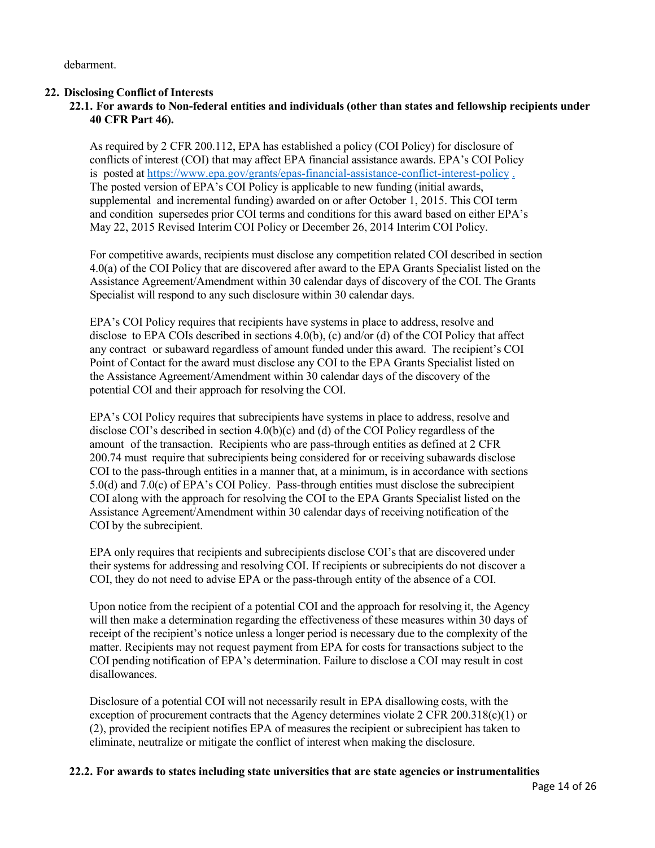debarment.

### **22. Disclosing Conflict of Interests**

## **22.1. For awards to Non-federal entities and individuals (other than states and fellowship recipients under 40 CFR Part 46).**

As required by 2 CFR 200.112, EPA has established a policy (COI Policy) for disclosure of conflicts of interest (COI) that may affect EPA financial assistance awards. EPA's COI Policy is posted at<https://www.epa.gov/grants/epas-financial-assistance-conflict-interest-policy> [.](file://W1818TDCEC027.aa.ad.epa.gov/OARM-OGD-USER$/JDurand1/Terms%20and%20Conditions/General%20T&Cs%20for%20FY2020%20Oct%201%202019/) The posted version of EPA's COI Policy is applicable to new funding (initial awards, supplemental and incremental funding) awarded on or after October 1, 2015. This COI term and condition supersedes prior COI terms and conditions for this award based on either EPA's May 22, 2015 Revised Interim COI Policy or December 26, 2014 Interim COI Policy.

For competitive awards, recipients must disclose any competition related COI described in section 4.0(a) of the COI Policy that are discovered after award to the EPA Grants Specialist listed on the Assistance Agreement/Amendment within 30 calendar days of discovery of the COI. The Grants Specialist will respond to any such disclosure within 30 calendar days.

EPA's COI Policy requires that recipients have systems in place to address, resolve and disclose to EPA COIs described in sections 4.0(b), (c) and/or (d) of the COI Policy that affect any contract or subaward regardless of amount funded under this award. The recipient's COI Point of Contact for the award must disclose any COI to the EPA Grants Specialist listed on the Assistance Agreement/Amendment within 30 calendar days of the discovery of the potential COI and their approach for resolving the COI.

EPA's COI Policy requires that subrecipients have systems in place to address, resolve and disclose COI's described in section 4.0(b)(c) and (d) of the COI Policy regardless of the amount of the transaction. Recipients who are pass-through entities as defined at 2 CFR 200.74 must require that subrecipients being considered for or receiving subawards disclose COI to the pass-through entities in a manner that, at a minimum, is in accordance with sections 5.0(d) and 7.0(c) of EPA's COI Policy. Pass-through entities must disclose the subrecipient COI along with the approach for resolving the COI to the EPA Grants Specialist listed on the Assistance Agreement/Amendment within 30 calendar days of receiving notification of the COI by the subrecipient.

EPA only requires that recipients and subrecipients disclose COI's that are discovered under their systems for addressing and resolving COI. If recipients or subrecipients do not discover a COI, they do not need to advise EPA or the pass-through entity of the absence of a COI.

Upon notice from the recipient of a potential COI and the approach for resolving it, the Agency will then make a determination regarding the effectiveness of these measures within 30 days of receipt of the recipient's notice unless a longer period is necessary due to the complexity of the matter. Recipients may not request payment from EPA for costs for transactions subject to the COI pending notification of EPA's determination. Failure to disclose a COI may result in cost disallowances.

Disclosure of a potential COI will not necessarily result in EPA disallowing costs, with the exception of procurement contracts that the Agency determines violate 2 CFR 200.318(c)(1) or (2), provided the recipient notifies EPA of measures the recipient or subrecipient has taken to eliminate, neutralize or mitigate the conflict of interest when making the disclosure.

#### **22.2. For awards to states including state universities that are state agencies or instrumentalities**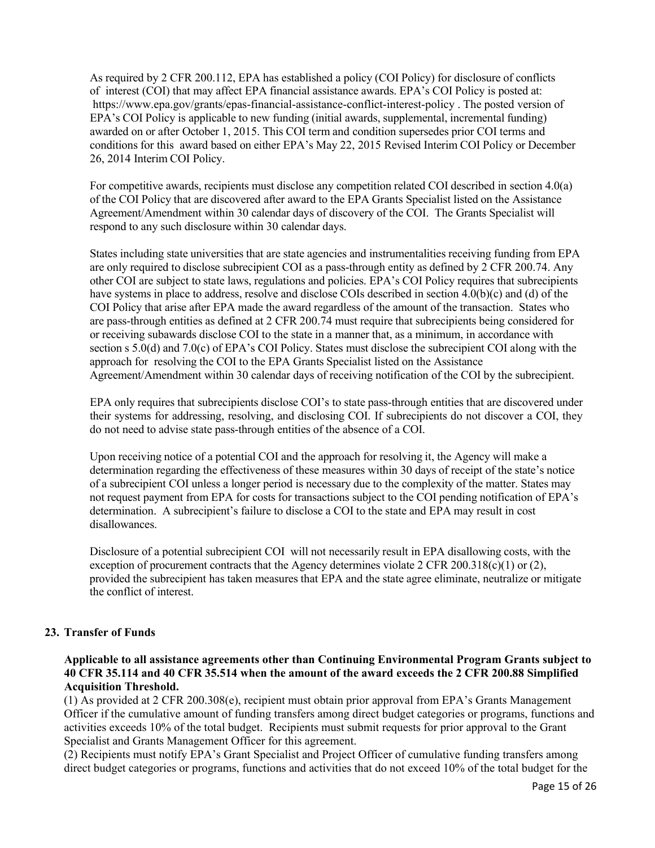As required by 2 CFR 200.112, EPA has established a policy (COI Policy) for disclosure of conflicts of interest (COI) that may affect EPA financial assistance awards. EPA's COI Policy is posted at: <https://www.epa.gov/grants/epas-financial-assistance-conflict-interest-policy> . The posted version of EPA's COI Policy is applicable to new funding (initial awards, supplemental, incremental funding) awarded on or after October 1, 2015. This COI term and condition supersedes prior COI terms and conditions for this award based on either EPA's May 22, 2015 Revised Interim COI Policy or December 26, 2014 Interim COI Policy.

For competitive awards, recipients must disclose any competition related COI described in section 4.0(a) of the COI Policy that are discovered after award to the EPA Grants Specialist listed on the Assistance Agreement/Amendment within 30 calendar days of discovery of the COI. The Grants Specialist will respond to any such disclosure within 30 calendar days.

States including state universities that are state agencies and instrumentalities receiving funding from EPA are only required to disclose subrecipient COI as a pass-through entity as defined by 2 CFR 200.74. Any other COI are subject to state laws, regulations and policies. EPA's COI Policy requires that subrecipients have systems in place to address, resolve and disclose COIs described in section 4.0(b)(c) and (d) of the COI Policy that arise after EPA made the award regardless of the amount of the transaction. States who are pass-through entities as defined at 2 CFR 200.74 must require that subrecipients being considered for or receiving subawards disclose COI to the state in a manner that, as a minimum, in accordance with section s 5.0(d) and 7.0(c) of EPA's COI Policy. States must disclose the subrecipient COI along with the approach for resolving the COI to the EPA Grants Specialist listed on the Assistance Agreement/Amendment within 30 calendar days of receiving notification of the COI by the subrecipient.

EPA only requires that subrecipients disclose COI's to state pass-through entities that are discovered under their systems for addressing, resolving, and disclosing COI. If subrecipients do not discover a COI, they do not need to advise state pass-through entities of the absence of a COI.

Upon receiving notice of a potential COI and the approach for resolving it, the Agency will make a determination regarding the effectiveness of these measures within 30 days of receipt of the state's notice of a subrecipient COI unless a longer period is necessary due to the complexity of the matter. States may not request payment from EPA for costs for transactions subject to the COI pending notification of EPA's determination. A subrecipient's failure to disclose a COI to the state and EPA may result in cost disallowances.

Disclosure of a potential subrecipient COI will not necessarily result in EPA disallowing costs, with the exception of procurement contracts that the Agency determines violate 2 CFR 200.318(c)(1) or (2), provided the subrecipient has taken measures that EPA and the state agree eliminate, neutralize or mitigate the conflict of interest.

### **23. Transfer of Funds**

## **Applicable to all assistance agreements other than Continuing Environmental Program Grants subject to 40 CFR 35.114 and 40 CFR 35.514 when the amount of the award exceeds the 2 CFR 200.88 Simplified Acquisition Threshold.**

(1) As provided at 2 CFR 200.308(e), recipient must obtain prior approval from EPA's Grants Management Officer if the cumulative amount of funding transfers among direct budget categories or programs, functions and activities exceeds 10% of the total budget. Recipients must submit requests for prior approval to the Grant Specialist and Grants Management Officer for this agreement.

(2) Recipients must notify EPA's Grant Specialist and Project Officer of cumulative funding transfers among direct budget categories or programs, functions and activities that do not exceed 10% of the total budget for the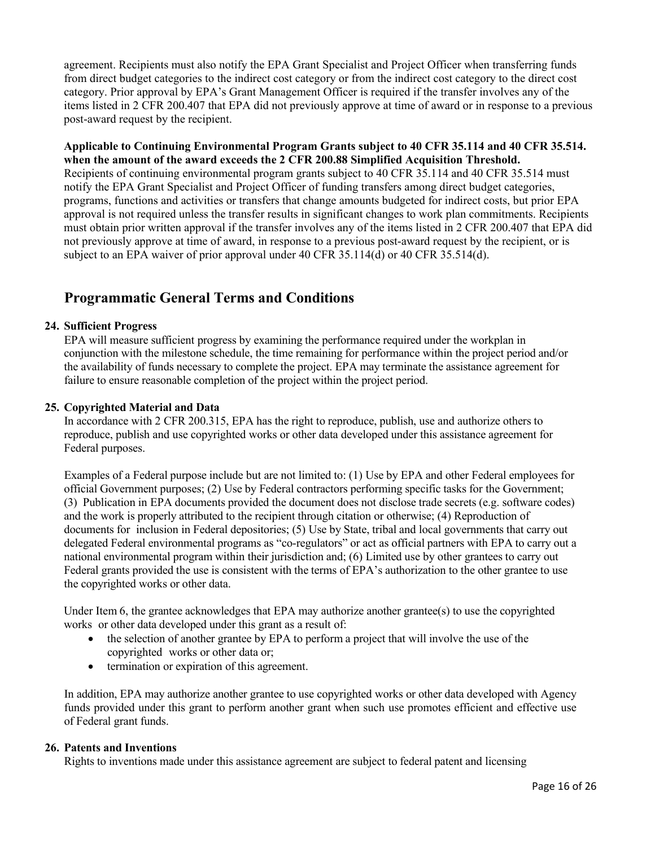agreement. Recipients must also notify the EPA Grant Specialist and Project Officer when transferring funds from direct budget categories to the indirect cost category or from the indirect cost category to the direct cost category. Prior approval by EPA's Grant Management Officer is required if the transfer involves any of the items listed in 2 CFR 200.407 that EPA did not previously approve at time of award or in response to a previous post-award request by the recipient.

**Applicable to Continuing Environmental Program Grants subject to 40 CFR 35.114 and 40 CFR 35.514. when the amount of the award exceeds the 2 CFR 200.88 Simplified Acquisition Threshold.** Recipients of continuing environmental program grants subject to 40 CFR 35.114 and 40 CFR 35.514 must notify the EPA Grant Specialist and Project Officer of funding transfers among direct budget categories, programs, functions and activities or transfers that change amounts budgeted for indirect costs, but prior EPA approval is not required unless the transfer results in significant changes to work plan commitments. Recipients must obtain prior written approval if the transfer involves any of the items listed in 2 CFR 200.407 that EPA did not previously approve at time of award, in response to a previous post-award request by the recipient, or is

# **Programmatic General Terms and Conditions**

### **24. Sufficient Progress**

EPA will measure sufficient progress by examining the performance required under the workplan in conjunction with the milestone schedule, the time remaining for performance within the project period and/or the availability of funds necessary to complete the project. EPA may terminate the assistance agreement for failure to ensure reasonable completion of the project within the project period.

subject to an EPA waiver of prior approval under 40 CFR 35.114(d) or 40 CFR 35.514(d).

#### **25. Copyrighted Material and Data**

In accordance with 2 CFR 200.315, EPA has the right to reproduce, publish, use and authorize others to reproduce, publish and use copyrighted works or other data developed under this assistance agreement for Federal purposes.

Examples of a Federal purpose include but are not limited to: (1) Use by EPA and other Federal employees for official Government purposes; (2) Use by Federal contractors performing specific tasks for the Government; (3) Publication in EPA documents provided the document does not disclose trade secrets (e.g. software codes) and the work is properly attributed to the recipient through citation or otherwise; (4) Reproduction of documents for inclusion in Federal depositories; (5) Use by State, tribal and local governments that carry out delegated Federal environmental programs as "co-regulators" or act as official partners with EPA to carry out a national environmental program within their jurisdiction and; (6) Limited use by other grantees to carry out Federal grants provided the use is consistent with the terms of EPA's authorization to the other grantee to use the copyrighted works or other data.

Under Item 6, the grantee acknowledges that EPA may authorize another grantee(s) to use the copyrighted works or other data developed under this grant as a result of:

- the selection of another grantee by EPA to perform a project that will involve the use of the copyrighted works or other data or;
- termination or expiration of this agreement.

In addition, EPA may authorize another grantee to use copyrighted works or other data developed with Agency funds provided under this grant to perform another grant when such use promotes efficient and effective use of Federal grant funds.

#### **26. Patents and Inventions**

Rights to inventions made under this assistance agreement are subject to federal patent and licensing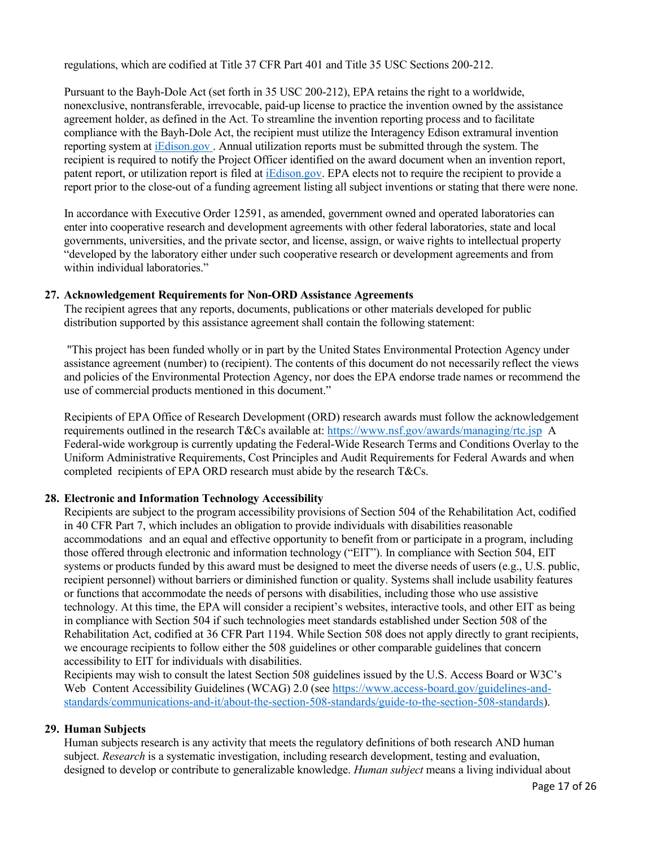regulations, which are codified at Title 37 CFR Part 401 and Title 35 USC Sections 200-212.

Pursuant to the Bayh-Dole Act (set forth in 35 USC 200-212), EPA retains the right to a worldwide, nonexclusive, nontransferable, irrevocable, paid-up license to practice the invention owned by the assistance agreement holder, as defined in the Act. To streamline the invention reporting process and to facilitate compliance with the Bayh-Dole Act, the recipient must utilize the Interagency Edison extramural invention reporting system at [iEdison.gov](https://public.era.nih.gov/iedison/public/login.do?TARGET=https%3A%2F%2Fpublic.era.nih.gov%2Fiedison%2Findex.jsp) . Annual utilization reports must be submitted through the system. The recipient is required to notify the Project Officer identified on the award document when an invention report, patent report, or utilization report is filed at [iEdison.gov.](https://public.era.nih.gov/iedison/public/login.do?TARGET=https%3A%2F%2Fpublic.era.nih.gov%2Fiedison%2Findex.jsp) EPA elects not to require the recipient to provide a report prior to the close-out of a funding agreement listing all subject inventions or stating that there were none.

In accordance with Executive Order 12591, as amended, government owned and operated laboratories can enter into cooperative research and development agreements with other federal laboratories, state and local governments, universities, and the private sector, and license, assign, or waive rights to intellectual property "developed by the laboratory either under such cooperative research or development agreements and from within individual laboratories."

### **27. Acknowledgement Requirements for Non-ORD Assistance Agreements**

The recipient agrees that any reports, documents, publications or other materials developed for public distribution supported by this assistance agreement shall contain the following statement:

"This project has been funded wholly or in part by the United States Environmental Protection Agency under assistance agreement (number) to (recipient). The contents of this document do not necessarily reflect the views and policies of the Environmental Protection Agency, nor does the EPA endorse trade names or recommend the use of commercial products mentioned in this document."

Recipients of EPA Office of Research Development (ORD) research awards must follow the acknowledgement requirements outlined in the research T&Cs available at:<https://www.nsf.gov/awards/managing/rtc.jsp> A Federal-wide workgroup is currently updating the Federal-Wide Research Terms and Conditions Overlay to the Uniform Administrative Requirements, Cost Principles and Audit Requirements for Federal Awards and when completed recipients of EPA ORD research must abide by the research T&Cs.

### **28. Electronic and Information Technology Accessibility**

Recipients are subject to the program accessibility provisions of Section 504 of the Rehabilitation Act, codified in 40 CFR Part 7, which includes an obligation to provide individuals with disabilities reasonable accommodations and an equal and effective opportunity to benefit from or participate in a program, including those offered through electronic and information technology ("EIT"). In compliance with Section 504, EIT systems or products funded by this award must be designed to meet the diverse needs of users (e.g., U.S. public, recipient personnel) without barriers or diminished function or quality. Systems shall include usability features or functions that accommodate the needs of persons with disabilities, including those who use assistive technology. At this time, the EPA will consider a recipient's websites, interactive tools, and other EIT as being in compliance with Section 504 if such technologies meet standards established under Section 508 of the Rehabilitation Act, codified at 36 CFR Part 1194. While Section 508 does not apply directly to grant recipients, we encourage recipients to follow either the 508 guidelines or other comparable guidelines that concern accessibility to EIT for individuals with disabilities.

Recipients may wish to consult the latest Section 508 guidelines issued by the U.S. Access Board or W3C's Web Content Accessibility Guidelines (WCAG) 2.0 (see [https://www.access-board.gov/guidelines-and](https://www.access-board.gov/guidelines-and-standards/communications-and-it/about-the-section-508-standards/guide-to-the-section-508-standards)[standards/communications-and-it/about-the-section-508-standards/guide-to-the-section-508-standards\)](https://www.access-board.gov/guidelines-and-standards/communications-and-it/about-the-section-508-standards/guide-to-the-section-508-standards).

### **29. Human Subjects**

Human subjects research is any activity that meets the regulatory definitions of both research AND human subject. *Research* is a systematic investigation, including research development, testing and evaluation, designed to develop or contribute to generalizable knowledge. *Human subject* means a living individual about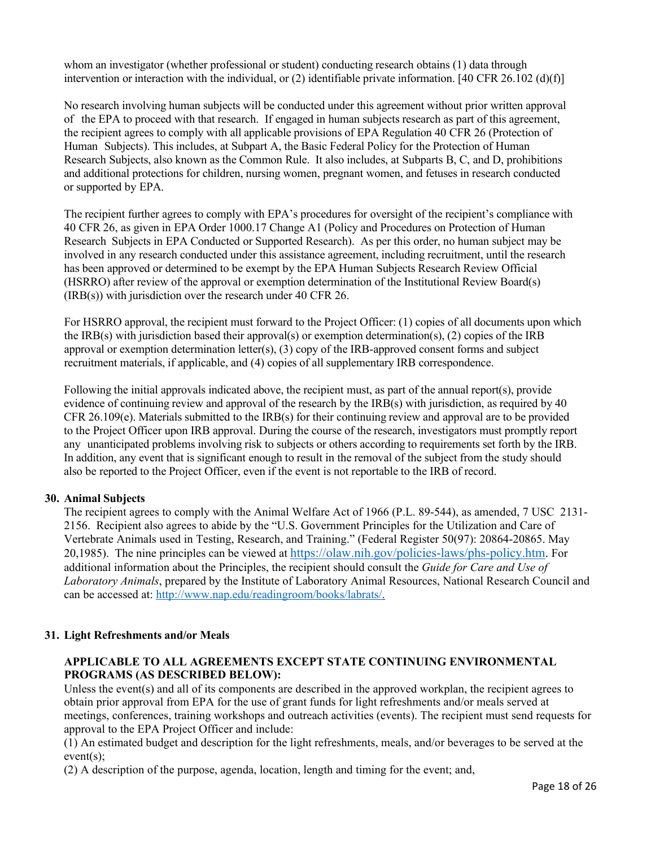whom an investigator (whether professional or student) conducting research obtains (1) data through intervention or interaction with the individual, or (2) identifiable private information. [40 CFR 26.102 (d)(f)]

No research involving human subjects will be conducted under this agreement without prior written approval of the EPA to proceed with that research. If engaged in human subjects research as part of this agreement, the recipient agrees to comply with all applicable provisions of EPA Regulation 40 CFR 26 (Protection of Human Subjects). This includes, at Subpart A, the Basic Federal Policy for the Protection of Human Research Subjects, also known as the Common Rule. It also includes, at Subparts B, C, and D, prohibitions and additional protections for children, nursing women, pregnant women, and fetuses in research conducted or supported by EPA.

The recipient further agrees to comply with EPA's procedures for oversight of the recipient's compliance with 40 CFR 26, as given in EPA Order 1000.17 Change A1 (Policy and Procedures on Protection of Human Research Subjects in EPA Conducted or Supported Research). As per this order, no human subject may be involved in any research conducted under this assistance agreement, including recruitment, until the research has been approved or determined to be exempt by the EPA Human Subjects Research Review Official (HSRRO) after review of the approval or exemption determination of the Institutional Review Board(s) (IRB(s)) with jurisdiction over the research under 40 CFR 26.

For HSRRO approval, the recipient must forward to the Project Officer: (1) copies of all documents upon which the IRB(s) with jurisdiction based their approval(s) or exemption determination(s), (2) copies of the IRB approval or exemption determination letter(s), (3) copy of the IRB-approved consent forms and subject recruitment materials, if applicable, and (4) copies of all supplementary IRB correspondence.

Following the initial approvals indicated above, the recipient must, as part of the annual report(s), provide evidence of continuing review and approval of the research by the IRB(s) with jurisdiction, as required by 40  $CFR 26.109(e)$ . Materials submitted to the IRB(s) for their continuing review and approval are to be provided to the Project Officer upon IRB approval. During the course of the research, investigators must promptly report any unanticipated problems involving risk to subjects or others according to requirements set forth by the IRB. In addition, any event that is significant enough to result in the removal of the subject from the study should also be reported to the Project Officer, even if the event is not reportable to the IRB of record.

### **30. Animal Subjects**

The recipient agrees to comply with the Animal Welfare Act of 1966 (P.L. 89-544), as amended, 7 USC 2131- 2156. Recipient also agrees to abide by the "U.S. Government Principles for the Utilization and Care of Vertebrate Animals used in Testing, Research, and Training." (Federal Register 50(97): 20864-20865. May 20,1985). The nine principles can be viewed at [https://olaw.nih.gov/policies-laws/phs-policy.htm.](https://olaw.nih.gov/policies-laws/phs-policy.htm) For additional information about the Principles, the recipient should consult the *Guide for Care and Use of Laboratory Animals*, prepared by the Institute of Laboratory Animal Resources, National Research Council and can be accessed at: [http://www.nap.edu/readingroom/books/labrats/.](http://www.nap.edu/readingroom/books/labrats/)

### **31. Light Refreshments and/or Meals**

## **APPLICABLE TO ALL AGREEMENTS EXCEPT STATE CONTINUING ENVIRONMENTAL PROGRAMS (AS DESCRIBED BELOW):**

Unless the event(s) and all of its components are described in the approved workplan, the recipient agrees to obtain prior approval from EPA for the use of grant funds for light refreshments and/or meals served at meetings, conferences, training workshops and outreach activities (events). The recipient must send requests for approval to the EPA Project Officer and include:

(1) An estimated budget and description for the light refreshments, meals, and/or beverages to be served at the event(s);

(2) A description of the purpose, agenda, location, length and timing for the event; and,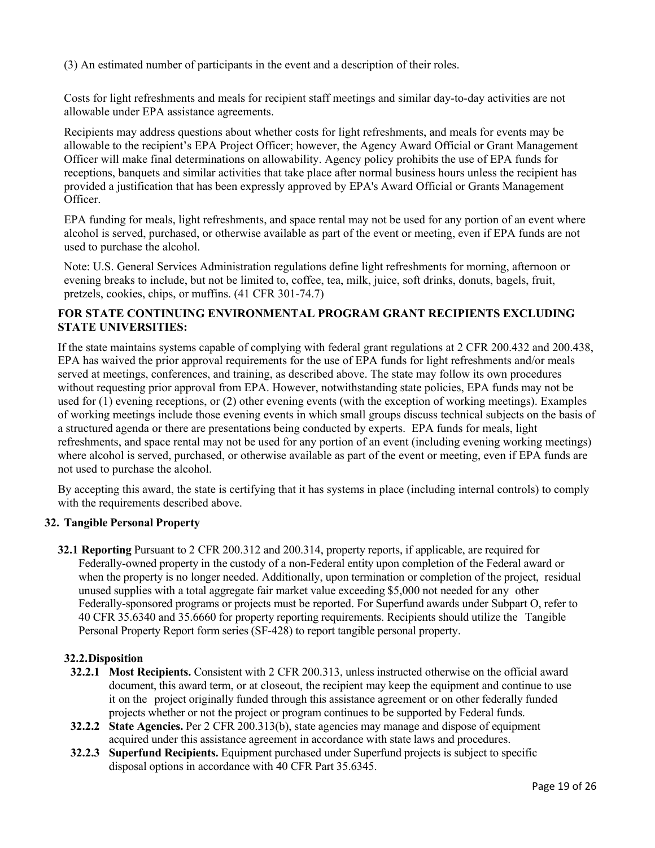(3) An estimated number of participants in the event and a description of their roles.

Costs for light refreshments and meals for recipient staff meetings and similar day-to-day activities are not allowable under EPA assistance agreements.

Recipients may address questions about whether costs for light refreshments, and meals for events may be allowable to the recipient's EPA Project Officer; however, the Agency Award Official or Grant Management Officer will make final determinations on allowability. Agency policy prohibits the use of EPA funds for receptions, banquets and similar activities that take place after normal business hours unless the recipient has provided a justification that has been expressly approved by EPA's Award Official or Grants Management Officer.

EPA funding for meals, light refreshments, and space rental may not be used for any portion of an event where alcohol is served, purchased, or otherwise available as part of the event or meeting, even if EPA funds are not used to purchase the alcohol.

Note: U.S. General Services Administration regulations define light refreshments for morning, afternoon or evening breaks to include, but not be limited to, coffee, tea, milk, juice, soft drinks, donuts, bagels, fruit, pretzels, cookies, chips, or muffins. (41 CFR 301-74.7)

## **FOR STATE CONTINUING ENVIRONMENTAL PROGRAM GRANT RECIPIENTS EXCLUDING STATE UNIVERSITIES:**

If the state maintains systems capable of complying with federal grant regulations at 2 CFR 200.432 and 200.438, EPA has waived the prior approval requirements for the use of EPA funds for light refreshments and/or meals served at meetings, conferences, and training, as described above. The state may follow its own procedures without requesting prior approval from EPA. However, notwithstanding state policies, EPA funds may not be used for (1) evening receptions, or (2) other evening events (with the exception of working meetings). Examples of working meetings include those evening events in which small groups discuss technical subjects on the basis of a structured agenda or there are presentations being conducted by experts. EPA funds for meals, light refreshments, and space rental may not be used for any portion of an event (including evening working meetings) where alcohol is served, purchased, or otherwise available as part of the event or meeting, even if EPA funds are not used to purchase the alcohol.

By accepting this award, the state is certifying that it has systems in place (including internal controls) to comply with the requirements described above.

### **32. Tangible Personal Property**

**32.1 Reporting** Pursuant to 2 CFR 200.312 and 200.314, property reports, if applicable, are required for Federally-owned property in the custody of a non-Federal entity upon completion of the Federal award or when the property is no longer needed. Additionally, upon termination or completion of the project, residual unused supplies with a total aggregate fair market value exceeding \$5,000 not needed for any other Federally-sponsored programs or projects must be reported. For Superfund awards under Subpart O, refer to 40 CFR 35.6340 and 35.6660 for property reporting requirements. Recipients should utilize the Tangible Personal Property Report form series (SF-428) to report tangible personal property.

### **32.2.Disposition**

- **32.2.1 Most Recipients.** Consistent with 2 CFR 200.313, unless instructed otherwise on the official award document, this award term, or at closeout, the recipient may keep the equipment and continue to use it on the project originally funded through this assistance agreement or on other federally funded projects whether or not the project or program continues to be supported by Federal funds.
- **32.2.2 State Agencies.** Per 2 CFR 200.313(b), state agencies may manage and dispose of equipment acquired under this assistance agreement in accordance with state laws and procedures.
- **32.2.3 Superfund Recipients.** Equipment purchased under Superfund projects is subject to specific disposal options in accordance with 40 CFR Part 35.6345.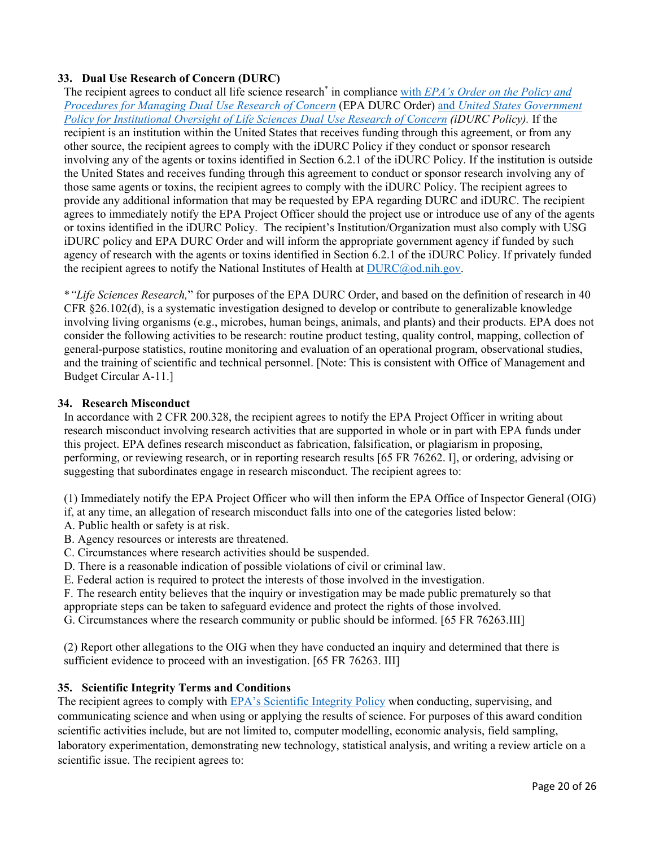# **33. Dual Use Research of Concern (DURC)**

The recipient agrees to conduct all life science research\* in compliance with *[EPA's Order on the Policy and](https://www.epa.gov/research/epa-order-100019-policy-and-procedures-managing-dual-use-research-concern)  [Procedures for Managing Dual Use Research of Concern](https://www.epa.gov/research/epa-order-100019-policy-and-procedures-managing-dual-use-research-concern)* (EPA DURC Order) and *[United States Government](http://www.phe.gov/s3/dualuse/Documents/durc-policy.pdf)  [Policy for Institutional Oversight of Life Sciences Dual Use Research of Concern](http://www.phe.gov/s3/dualuse/Documents/durc-policy.pdf) (iDURC Policy).* If the recipient is an institution within the United States that receives funding through this agreement, or from any other source, the recipient agrees to comply with the iDURC Policy if they conduct or sponsor research involving any of the agents or toxins identified in Section 6.2.1 of the iDURC Policy. If the institution is outside the United States and receives funding through this agreement to conduct or sponsor research involving any of those same agents or toxins, the recipient agrees to comply with the iDURC Policy. The recipient agrees to provide any additional information that may be requested by EPA regarding DURC and iDURC. The recipient agrees to immediately notify the EPA Project Officer should the project use or introduce use of any of the agents or toxins identified in the iDURC Policy. The recipient's Institution/Organization must also comply with USG iDURC policy and EPA DURC Order and will inform the appropriate government agency if funded by such agency of research with the agents or toxins identified in Section 6.2.1 of the iDURC Policy. If privately funded the recipient agrees to notify the National Institutes of Health at  $DURC@od.nih.gov$ .

\**"Life Sciences Research,*" for purposes of the EPA DURC Order, and based on the definition of research in 40 CFR §26.102(d), is a systematic investigation designed to develop or contribute to generalizable knowledge involving living organisms (e.g., microbes, human beings, animals, and plants) and their products. EPA does not consider the following activities to be research: routine product testing, quality control, mapping, collection of general-purpose statistics, routine monitoring and evaluation of an operational program, observational studies, and the training of scientific and technical personnel. [Note: This is consistent with Office of Management and Budget Circular A-11.]

### **34. Research Misconduct**

In accordance with 2 CFR 200.328, the recipient agrees to notify the EPA Project Officer in writing about research misconduct involving research activities that are supported in whole or in part with EPA funds under this project. EPA defines research misconduct as fabrication, falsification, or plagiarism in proposing, performing, or reviewing research, or in reporting research results [65 FR 76262. I], or ordering, advising or suggesting that subordinates engage in research misconduct. The recipient agrees to:

(1) Immediately notify the EPA Project Officer who will then inform the EPA Office of Inspector General (OIG)

if, at any time, an allegation of research misconduct falls into one of the categories listed below:

- A. Public health or safety is at risk.
- B. Agency resources or interests are threatened.
- C. Circumstances where research activities should be suspended.
- D. There is a reasonable indication of possible violations of civil or criminal law.
- E. Federal action is required to protect the interests of those involved in the investigation.

F. The research entity believes that the inquiry or investigation may be made public prematurely so that appropriate steps can be taken to safeguard evidence and protect the rights of those involved.

G. Circumstances where the research community or public should be informed. [65 FR 76263.III]

(2) Report other allegations to the OIG when they have conducted an inquiry and determined that there is sufficient evidence to proceed with an investigation. [65 FR 76263. III]

# **35. Scientific Integrity Terms and Conditions**

The recipient agrees to comply with [EPA's Scientific Integrity Policy](https://www.epa.gov/osa/policy-epa-scientific-integrity) when conducting, supervising, and communicating science and when using or applying the results of science. For purposes of this award condition scientific activities include, but are not limited to, computer modelling, economic analysis, field sampling, laboratory experimentation, demonstrating new technology, statistical analysis, and writing a review article on a scientific issue. The recipient agrees to: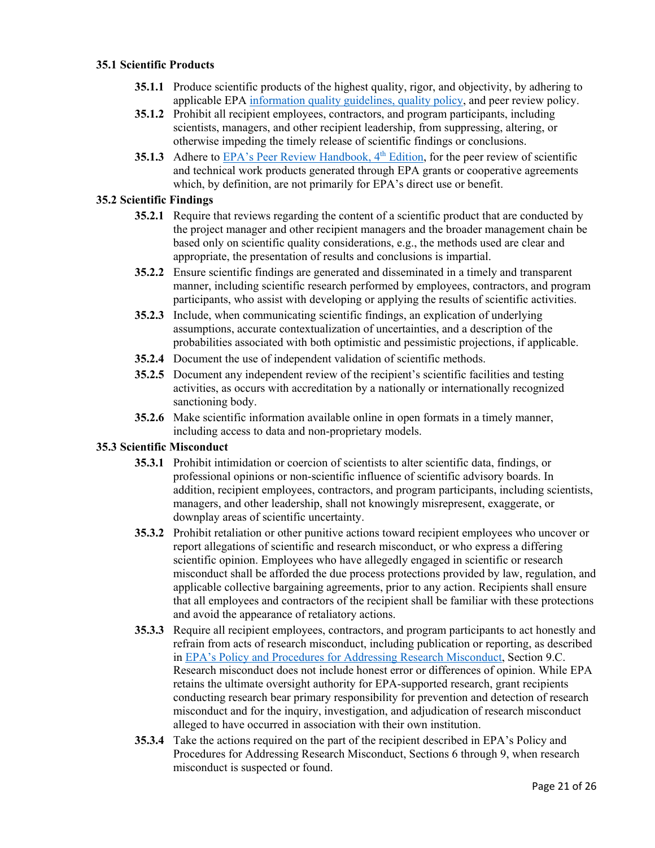### **35.1 Scientific Products**

- **35.1.1** Produce scientific products of the highest quality, rigor, and objectivity, by adhering to applicable EPA [information quality guidelines](https://www.epa.gov/quality/frequent-questions-about-epas-quality-system#tab-11)[, quality policy,](https://www.epa.gov/irmpoli8/epas-policy-and-procedures-ensure-and-enhance-its-quality-program) and peer review policy.
- **35.1.2** Prohibit all recipient employees, contractors, and program participants, including scientists, managers, and other recipient leadership, from suppressing, altering, or otherwise impeding the timely release of scientific findings or conclusions.
- **35.1.3** Adhere to EPA's Peer Review Handbook, 4<sup>th</sup> Edition, for the peer review of scientific and technical work products generated through EPA grants or cooperative agreements which, by definition, are not primarily for EPA's direct use or benefit.

## **35.2 Scientific Findings**

- **35.2.1** Require that reviews regarding the content of a scientific product that are conducted by the project manager and other recipient managers and the broader management chain be based only on scientific quality considerations, e.g., the methods used are clear and appropriate, the presentation of results and conclusions is impartial.
- **35.2.2** Ensure scientific findings are generated and disseminated in a timely and transparent manner, including scientific research performed by employees, contractors, and program participants, who assist with developing or applying the results of scientific activities.
- **35.2.3** Include, when communicating scientific findings, an explication of underlying assumptions, accurate contextualization of uncertainties, and a description of the probabilities associated with both optimistic and pessimistic projections, if applicable.
- **35.2.4** Document the use of independent validation of scientific methods.
- **35.2.5** Document any independent review of the recipient's scientific facilities and testing activities, as occurs with accreditation by a nationally or internationally recognized sanctioning body.
- **35.2.6** Make scientific information available online in open formats in a timely manner, including access to data and non-proprietary models.

### **35.3 Scientific Misconduct**

- **35.3.1** Prohibit intimidation or coercion of scientists to alter scientific data, findings, or professional opinions or non-scientific influence of scientific advisory boards. In addition, recipient employees, contractors, and program participants, including scientists, managers, and other leadership, shall not knowingly misrepresent, exaggerate, or downplay areas of scientific uncertainty.
- **35.3.2** Prohibit retaliation or other punitive actions toward recipient employees who uncover or report allegations of scientific and research misconduct, or who express a differing scientific opinion. Employees who have allegedly engaged in scientific or research misconduct shall be afforded the due process protections provided by law, regulation, and applicable collective bargaining agreements, prior to any action. Recipients shall ensure that all employees and contractors of the recipient shall be familiar with these protections and avoid the appearance of retaliatory actions.
- **35.3.3** Require all recipient employees, contractors, and program participants to act honestly and refrain from acts of research misconduct, including publication or reporting, as described in [EPA's Policy and Procedures for Addressing Research Misconduct,](https://www.epa.gov/osa/epa-order-policy-and-procedures-addressing-research-misconduct) Section 9.C. Research misconduct does not include honest error or differences of opinion. While EPA retains the ultimate oversight authority for EPA-supported research, grant recipients conducting research bear primary responsibility for prevention and detection of research misconduct and for the inquiry, investigation, and adjudication of research misconduct alleged to have occurred in association with their own institution.
- **35.3.4** Take the actions required on the part of the recipient described in EPA's Policy and Procedures for Addressing Research Misconduct, Sections 6 through 9, when research misconduct is suspected or found.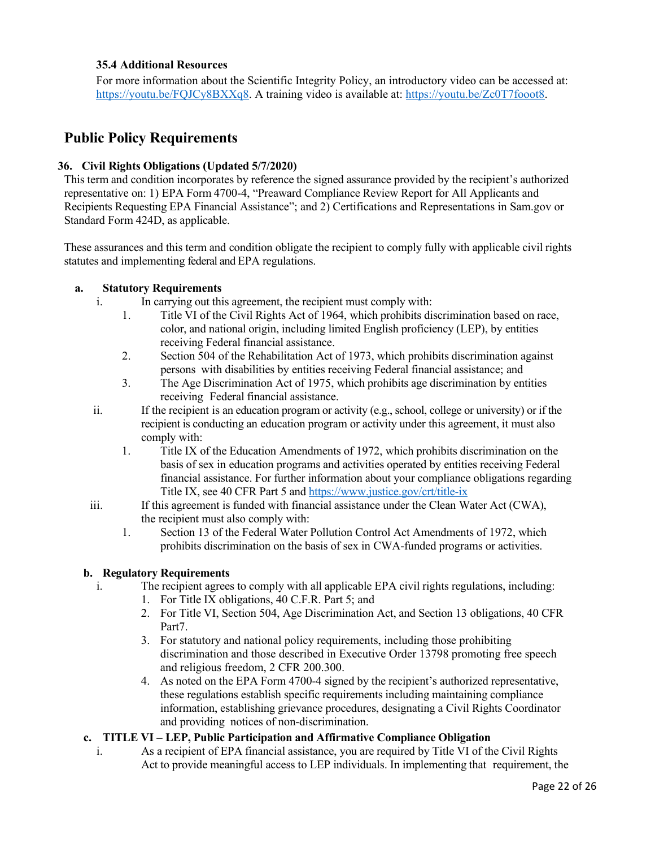## **35.4 Additional Resources**

For more information about the Scientific Integrity Policy, an introductory video can be accessed at: [https://youtu.be/FQJCy8BXXq8.](https://youtu.be/FQJCy8BXXq8) A training video is available at: [https://youtu.be/Zc0T7fooot8.](https://youtu.be/Zc0T7fooot8)

# **Public Policy Requirements**

## **36. Civil Rights Obligations (Updated 5/7/2020)**

This term and condition incorporates by reference the signed assurance provided by the recipient's authorized representative on: 1) EPA Form 4700-4, "Preaward Compliance Review Report for All Applicants and Recipients Requesting EPA Financial Assistance"; and 2) Certifications and Representations in Sam.gov or Standard Form 424D, as applicable.

These assurances and this term and condition obligate the recipient to comply fully with applicable civil rights statutes and implementing federal and EPA regulations.

## **a. Statutory Requirements**

- i. In carrying out this agreement, the recipient must comply with:
	- 1. Title VI of the Civil Rights Act of 1964, which prohibits discrimination based on race, color, and national origin, including limited English proficiency (LEP), by entities receiving Federal financial assistance.
	- 2. Section 504 of the Rehabilitation Act of 1973, which prohibits discrimination against persons with disabilities by entities receiving Federal financial assistance; and
	- 3. The Age Discrimination Act of 1975, which prohibits age discrimination by entities receiving Federal financial assistance.
- ii. If the recipient is an education program or activity (e.g., school, college or university) or if the recipient is conducting an education program or activity under this agreement, it must also comply with:
	- 1. Title IX of the Education Amendments of 1972, which prohibits discrimination on the basis of sex in education programs and activities operated by entities receiving Federal financial assistance. For further information about your compliance obligations regarding Title IX, see 40 CFR Part 5 and<https://www.justice.gov/crt/title-ix>
- iii. If this agreement is funded with financial assistance under the Clean Water Act (CWA), the recipient must also comply with:
	- 1. Section 13 of the Federal Water Pollution Control Act Amendments of 1972, which prohibits discrimination on the basis of sex in CWA-funded programs or activities.

### **b. Regulatory Requirements**

- i. The recipient agrees to comply with all applicable EPA civil rights regulations, including:
	- 1. For Title IX obligations, 40 C.F.R. Part 5; and
	- 2. For Title VI, Section 504, Age Discrimination Act, and Section 13 obligations, 40 CFR Part7.
	- 3. For statutory and national policy requirements, including those prohibiting discrimination and those described in Executive Order 13798 promoting free speech and religious freedom, 2 CFR 200.300.
	- 4. As noted on the EPA Form 4700-4 signed by the recipient's authorized representative, these regulations establish specific requirements including maintaining compliance information, establishing grievance procedures, designating a Civil Rights Coordinator and providing notices of non-discrimination.

### **c. TITLE VI – LEP, Public Participation and Affirmative Compliance Obligation**

i. As a recipient of EPA financial assistance, you are required by Title VI of the Civil Rights Act to provide meaningful access to LEP individuals. In implementing that requirement, the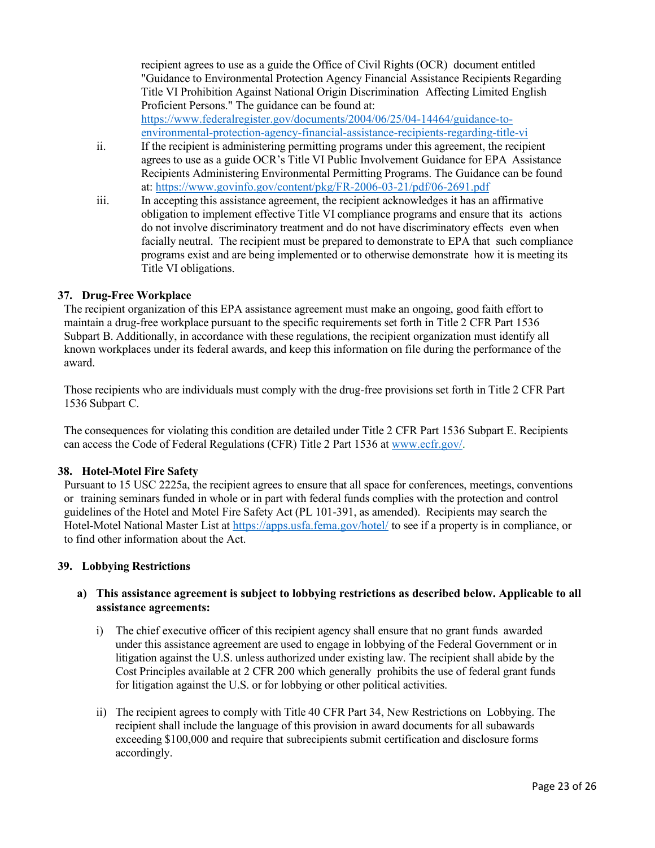recipient agrees to use as a guide the Office of Civil Rights (OCR) document entitled "Guidance to Environmental Protection Agency Financial Assistance Recipients Regarding Title VI Prohibition Against National Origin Discrimination Affecting Limited English Proficient Persons." The guidance can be found at: [https://www.federalregister.gov/documents/2004/06/25/04-14464/guidance-to](https://www.federalregister.gov/documents/2004/06/25/04-14464/guidance-to-environmental-protection-agency-financial-assistance-recipients-regarding-title-vi)[environmental-protection-agency-financial-assistance-recipients-regarding-title-vi](https://www.federalregister.gov/documents/2004/06/25/04-14464/guidance-to-environmental-protection-agency-financial-assistance-recipients-regarding-title-vi)

- ii. If the recipient is administering permitting programs under this agreement, the recipient agrees to use as a guide OCR's Title VI Public Involvement Guidance for EPA Assistance Recipients Administering Environmental Permitting Programs. The Guidance can be found at:<https://www.govinfo.gov/content/pkg/FR-2006-03-21/pdf/06-2691.pdf>
- iii. In accepting this assistance agreement, the recipient acknowledges it has an affirmative obligation to implement effective Title VI compliance programs and ensure that its actions do not involve discriminatory treatment and do not have discriminatory effects even when facially neutral. The recipient must be prepared to demonstrate to EPA that such compliance programs exist and are being implemented or to otherwise demonstrate how it is meeting its Title VI obligations.

## **37. Drug-Free Workplace**

The recipient organization of this EPA assistance agreement must make an ongoing, good faith effort to maintain a drug-free workplace pursuant to the specific requirements set forth in Title 2 CFR Part 1536 Subpart B. Additionally, in accordance with these regulations, the recipient organization must identify all known workplaces under its federal awards, and keep this information on file during the performance of the award.

Those recipients who are individuals must comply with the drug-free provisions set forth in Title 2 CFR Part 1536 Subpart C.

The consequences for violating this condition are detailed under Title 2 CFR Part 1536 Subpart E. Recipients can access the Code of Federal Regulations (CFR) Title 2 Part 1536 at [www.ecfr.gov/.](http://www.ecfr.gov/)

### **38. Hotel-Motel Fire Safety**

Pursuant to 15 USC 2225a, the recipient agrees to ensure that all space for conferences, meetings, conventions or training seminars funded in whole or in part with federal funds complies with the protection and control guidelines of the Hotel and Motel Fire Safety Act (PL 101-391, as amended). Recipients may search the Hotel-Motel National Master List at <https://apps.usfa.fema.gov/hotel/> to see if a property is in compliance, or to find other information about the Act.

### **39. Lobbying Restrictions**

# **a) This assistance agreement is subject to lobbying restrictions as described below. Applicable to all assistance agreements:**

- i) The chief executive officer of this recipient agency shall ensure that no grant funds awarded under this assistance agreement are used to engage in lobbying of the Federal Government or in litigation against the U.S. unless authorized under existing law. The recipient shall abide by the Cost Principles available at 2 CFR 200 which generally prohibits the use of federal grant funds for litigation against the U.S. or for lobbying or other political activities.
- ii) The recipient agrees to comply with Title 40 CFR Part 34, New Restrictions on Lobbying. The recipient shall include the language of this provision in award documents for all subawards exceeding \$100,000 and require that subrecipients submit certification and disclosure forms accordingly.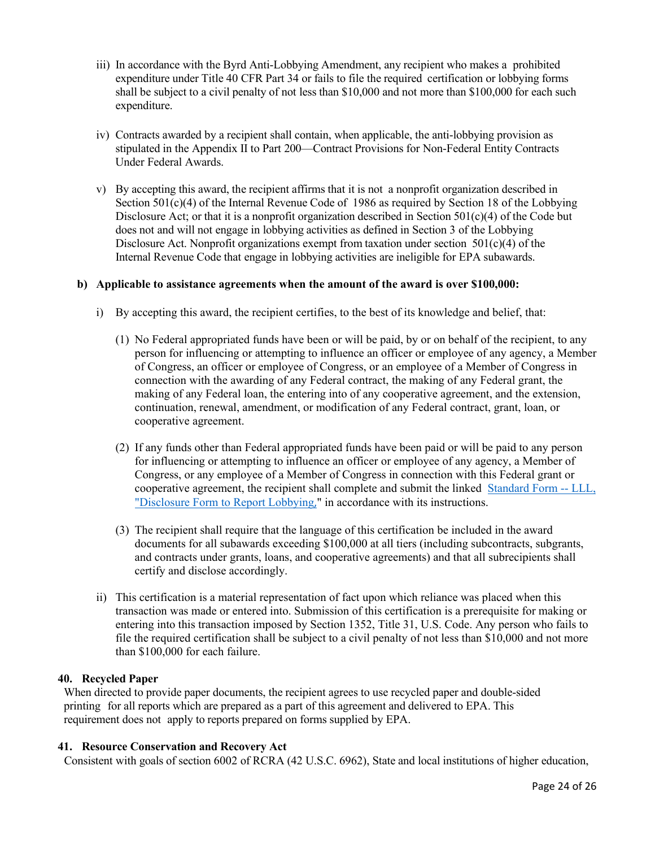- iii) In accordance with the Byrd Anti-Lobbying Amendment, any recipient who makes a prohibited expenditure under Title 40 CFR Part 34 or fails to file the required certification or lobbying forms shall be subject to a civil penalty of not less than \$10,000 and not more than \$100,000 for each such expenditure.
- iv) Contracts awarded by a recipient shall contain, when applicable, the anti-lobbying provision as stipulated in the Appendix II to Part 200—Contract Provisions for Non-Federal Entity Contracts Under Federal Awards.
- v) By accepting this award, the recipient affirms that it is not a nonprofit organization described in Section  $501(c)(4)$  of the Internal Revenue Code of 1986 as required by Section 18 of the Lobbying Disclosure Act; or that it is a nonprofit organization described in Section 501(c)(4) of the Code but does not and will not engage in lobbying activities as defined in Section 3 of the Lobbying Disclosure Act. Nonprofit organizations exempt from taxation under section  $501(c)(4)$  of the Internal Revenue Code that engage in lobbying activities are ineligible for EPA subawards.

#### **b) Applicable to assistance agreements when the amount of the award is over \$100,000:**

- i) By accepting this award, the recipient certifies, to the best of its knowledge and belief, that:
	- (1) No Federal appropriated funds have been or will be paid, by or on behalf of the recipient, to any person for influencing or attempting to influence an officer or employee of any agency, a Member of Congress, an officer or employee of Congress, or an employee of a Member of Congress in connection with the awarding of any Federal contract, the making of any Federal grant, the making of any Federal loan, the entering into of any cooperative agreement, and the extension, continuation, renewal, amendment, or modification of any Federal contract, grant, loan, or cooperative agreement.
	- (2) If any funds other than Federal appropriated funds have been paid or will be paid to any person for influencing or attempting to influence an officer or employee of any agency, a Member of Congress, or any employee of a Member of Congress in connection with this Federal grant or cooperative agreement, the recipient shall complete and submit the linked [Standard Form --](https://app_gsagov_prod_rdcgwaajp7wr.s3.amazonaws.com/SFLLL_1_2_P-V1.2.pdf) LLL, ["Disclosure Form to Report Lobbying](https://app_gsagov_prod_rdcgwaajp7wr.s3.amazonaws.com/SFLLL_1_2_P-V1.2.pdf)," in accordance with its instructions.
	- (3) The recipient shall require that the language of this certification be included in the award documents for all subawards exceeding \$100,000 at all tiers (including subcontracts, subgrants, and contracts under grants, loans, and cooperative agreements) and that all subrecipients shall certify and disclose accordingly.
- ii) This certification is a material representation of fact upon which reliance was placed when this transaction was made or entered into. Submission of this certification is a prerequisite for making or entering into this transaction imposed by Section 1352, Title 31, U.S. Code. Any person who fails to file the required certification shall be subject to a civil penalty of not less than \$10,000 and not more than \$100,000 for each failure.

#### **40. Recycled Paper**

When directed to provide paper documents, the recipient agrees to use recycled paper and double-sided printing for all reports which are prepared as a part of this agreement and delivered to EPA. This requirement does not apply to reports prepared on forms supplied by EPA.

#### **41. Resource Conservation and Recovery Act**

Consistent with goals of section 6002 of RCRA (42 U.S.C. 6962), State and local institutions of higher education,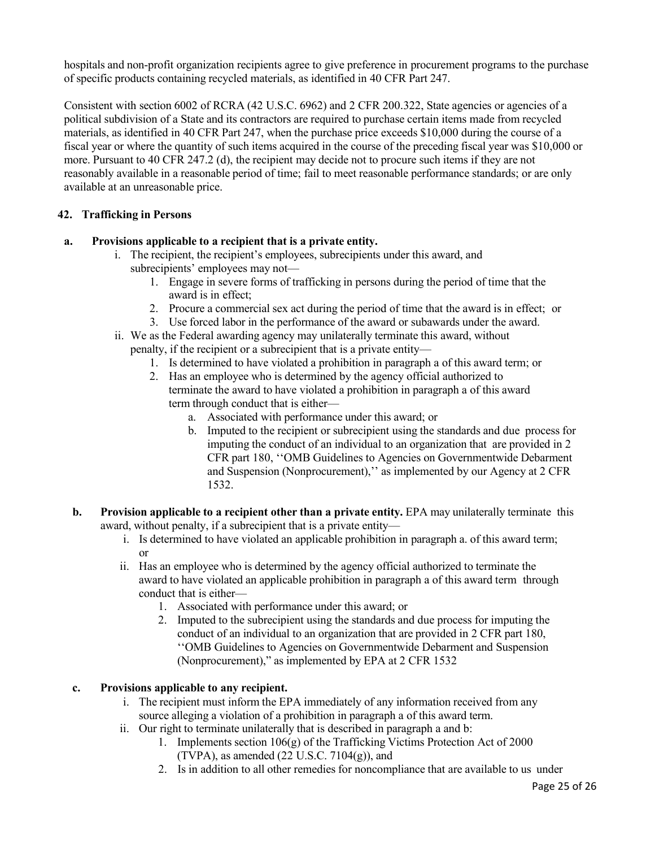hospitals and non-profit organization recipients agree to give preference in procurement programs to the purchase of specific products containing recycled materials, as identified in 40 CFR Part 247.

Consistent with section 6002 of RCRA (42 U.S.C. 6962) and 2 CFR 200.322, State agencies or agencies of a political subdivision of a State and its contractors are required to purchase certain items made from recycled materials, as identified in 40 CFR Part 247, when the purchase price exceeds \$10,000 during the course of a fiscal year or where the quantity of such items acquired in the course of the preceding fiscal year was \$10,000 or more. Pursuant to 40 CFR 247.2 (d), the recipient may decide not to procure such items if they are not reasonably available in a reasonable period of time; fail to meet reasonable performance standards; or are only available at an unreasonable price.

# **42. Trafficking in Persons**

- **a. Provisions applicable to a recipient that is a private entity.**
	- i. The recipient, the recipient's employees, subrecipients under this award, and subrecipients' employees may not—
		- 1. Engage in severe forms of trafficking in persons during the period of time that the award is in effect;
		- 2. Procure a commercial sex act during the period of time that the award is in effect; or
		- 3. Use forced labor in the performance of the award or subawards under the award.
	- ii. We as the Federal awarding agency may unilaterally terminate this award, without penalty, if the recipient or a subrecipient that is a private entity—
		- 1. Is determined to have violated a prohibition in paragraph a of this award term; or
		- 2. Has an employee who is determined by the agency official authorized to terminate the award to have violated a prohibition in paragraph a of this award term through conduct that is either
			- a. Associated with performance under this award; or
			- b. Imputed to the recipient or subrecipient using the standards and due process for imputing the conduct of an individual to an organization that are provided in 2 CFR part 180, ''OMB Guidelines to Agencies on Governmentwide Debarment and Suspension (Nonprocurement),'' as implemented by our Agency at 2 CFR 1532.
	- **b. Provision applicable to a recipient other than a private entity.** EPA may unilaterally terminate this award, without penalty, if a subrecipient that is a private entity
		- i. Is determined to have violated an applicable prohibition in paragraph a. of this award term; or
		- ii. Has an employee who is determined by the agency official authorized to terminate the award to have violated an applicable prohibition in paragraph a of this award term through conduct that is either—
			- 1. Associated with performance under this award; or
			- 2. Imputed to the subrecipient using the standards and due process for imputing the conduct of an individual to an organization that are provided in 2 CFR part 180, ''OMB Guidelines to Agencies on Governmentwide Debarment and Suspension (Nonprocurement)," as implemented by EPA at 2 CFR 1532

# **c. Provisions applicable to any recipient.**

- i. The recipient must inform the EPA immediately of any information received from any source alleging a violation of a prohibition in paragraph a of this award term.
- ii. Our right to terminate unilaterally that is described in paragraph a and b:
	- 1. Implements section 106(g) of the Trafficking Victims Protection Act of 2000 (TVPA), as amended  $(22 \text{ U.S.C. } 7104(g))$ , and
	- 2. Is in addition to all other remedies for noncompliance that are available to us under